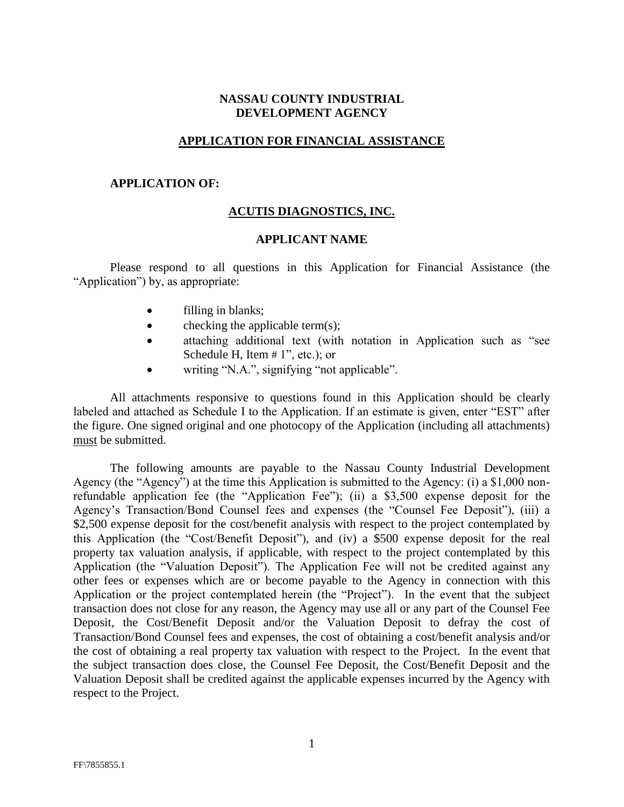## **NASSAU COUNTY INDUSTRIAL DEVELOPMENT AGENCY**

#### **APPLICATION FOR FINANCIAL ASSISTANCE**

#### **APPLICATION OF:**

#### **ACUTIS DIAGNOSTICS, INC.**

#### **APPLICANT NAME**

Please respond to all questions in this Application for Financial Assistance (the "Application") by, as appropriate:

- filling in blanks;
- $\bullet$  checking the applicable term(s);
- attaching additional text (with notation in Application such as "see Schedule H, Item # 1", etc.); or
- writing "N.A.", signifying "not applicable".

All attachments responsive to questions found in this Application should be clearly labeled and attached as Schedule I to the Application. If an estimate is given, enter "EST" after the figure. One signed original and one photocopy of the Application (including all attachments) must be submitted.

The following amounts are payable to the Nassau County Industrial Development Agency (the "Agency") at the time this Application is submitted to the Agency: (i) a \$1,000 nonrefundable application fee (the "Application Fee"); (ii) a \$3,500 expense deposit for the Agency's Transaction/Bond Counsel fees and expenses (the "Counsel Fee Deposit"), (iii) a \$2,500 expense deposit for the cost/benefit analysis with respect to the project contemplated by this Application (the "Cost/Benefit Deposit"), and (iv) a \$500 expense deposit for the real property tax valuation analysis, if applicable, with respect to the project contemplated by this Application (the "Valuation Deposit"). The Application Fee will not be credited against any other fees or expenses which are or become payable to the Agency in connection with this Application or the project contemplated herein (the "Project"). In the event that the subject transaction does not close for any reason, the Agency may use all or any part of the Counsel Fee Deposit, the Cost/Benefit Deposit and/or the Valuation Deposit to defray the cost of Transaction/Bond Counsel fees and expenses, the cost of obtaining a cost/benefit analysis and/or the cost of obtaining a real property tax valuation with respect to the Project. In the event that the subject transaction does close, the Counsel Fee Deposit, the Cost/Benefit Deposit and the Valuation Deposit shall be credited against the applicable expenses incurred by the Agency with respect to the Project.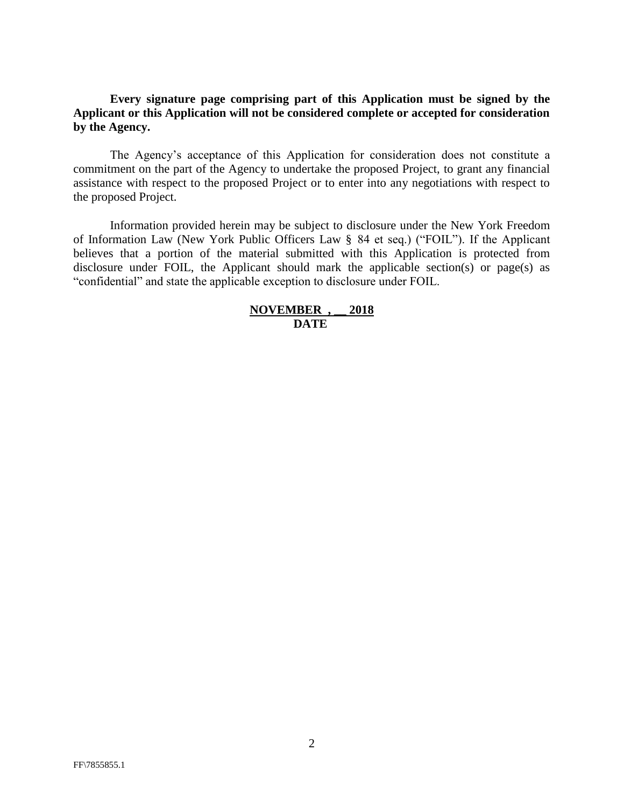## **Every signature page comprising part of this Application must be signed by the Applicant or this Application will not be considered complete or accepted for consideration by the Agency.**

The Agency's acceptance of this Application for consideration does not constitute a commitment on the part of the Agency to undertake the proposed Project, to grant any financial assistance with respect to the proposed Project or to enter into any negotiations with respect to the proposed Project.

Information provided herein may be subject to disclosure under the New York Freedom of Information Law (New York Public Officers Law § 84 et seq.) ("FOIL"). If the Applicant believes that a portion of the material submitted with this Application is protected from disclosure under FOIL, the Applicant should mark the applicable section(s) or page(s) as "confidential" and state the applicable exception to disclosure under FOIL.

#### **NOVEMBER , \_\_ 2018 DATE**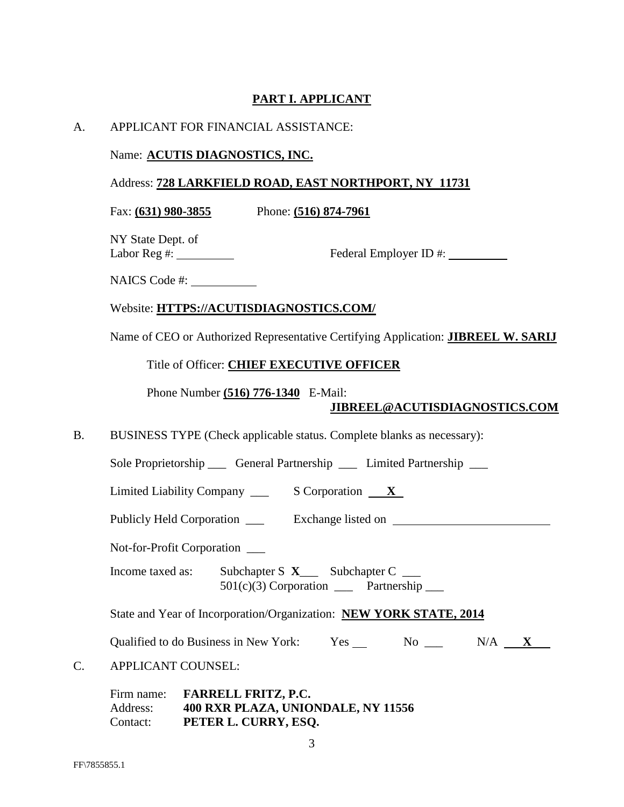## **PART I. APPLICANT**

## A. APPLICANT FOR FINANCIAL ASSISTANCE:

## Name: **ACUTIS DIAGNOSTICS, INC.**

## Address: **728 LARKFIELD ROAD, EAST NORTHPORT, NY 11731**

Fax: **(631) 980-3855** Phone: **(516) 874-7961**

NY State Dept. of

Labor Reg #: Federal Employer ID #:

NAICS Code #:

## Website: **HTTPS://ACUTISDIAGNOSTICS.COM/**

Name of CEO or Authorized Representative Certifying Application: **JIBREEL W. SARIJ**

Title of Officer: **CHIEF EXECUTIVE OFFICER**

Phone Number **(516) 776-1340** E-Mail:

## **JIBREEL@ACUTISDIAGNOSTICS.COM**

B. BUSINESS TYPE (Check applicable status. Complete blanks as necessary):

Sole Proprietorship General Partnership Limited Partnership Legale

Limited Liability Company \_\_\_ S Corporation **X**

Publicly Held Corporation \_\_\_ Exchange listed on \_\_\_\_\_\_\_\_\_\_\_\_\_\_\_\_\_\_\_\_\_\_\_\_\_\_\_\_\_\_\_

Not-for-Profit Corporation \_\_\_

Income taxed as: Subchapter S **X**\_\_\_ Subchapter C \_\_\_  $501(c)(3)$  Corporation \_\_\_ Partnership \_\_\_

State and Year of Incorporation/Organization: **NEW YORK STATE, 2014**

Qualified to do Business in New York: Yes No No N/A X

C. APPLICANT COUNSEL:

| Firm name: | <b>FARRELL FRITZ, P.C.</b>         |
|------------|------------------------------------|
| Address:   | 400 RXR PLAZA, UNIONDALE, NY 11556 |
| Contact:   | PETER L. CURRY, ESQ.               |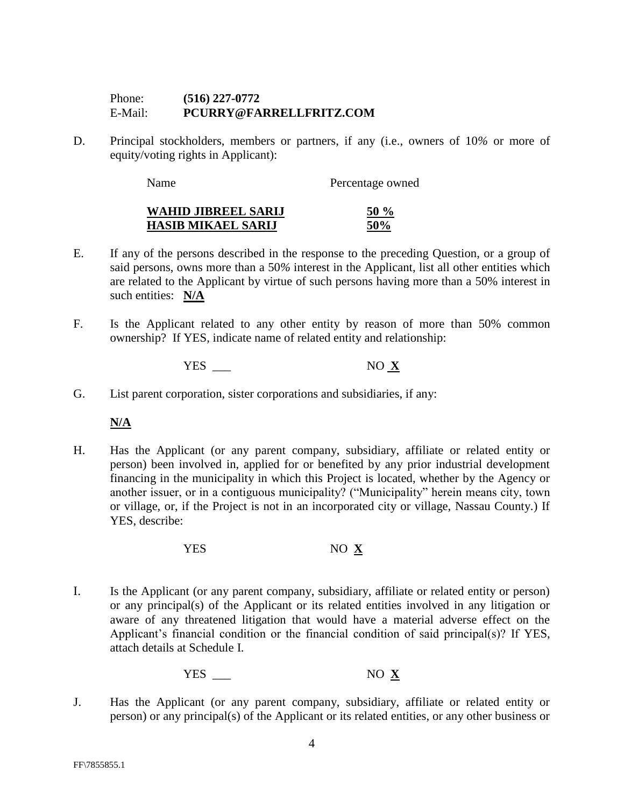## Phone: **(516) 227-0772** E-Mail: **PCURRY@FARRELLFRITZ.COM**

D. Principal stockholders, members or partners, if any (i.e., owners of 10*%* or more of equity/voting rights in Applicant):

Name Percentage owned

**WAHID JIBREEL SARIJ 50 % HASIB MIKAEL SARIJ 50%**

- E. If any of the persons described in the response to the preceding Question, or a group of said persons, owns more than a 50*%* interest in the Applicant, list all other entities which are related to the Applicant by virtue of such persons having more than a 50% interest in such entities: **N/A**
- F. Is the Applicant related to any other entity by reason of more than 50% common ownership? If YES, indicate name of related entity and relationship:

YES \_\_\_ NO **X**

G. List parent corporation, sister corporations and subsidiaries, if any:

**N/A**

H. Has the Applicant (or any parent company, subsidiary, affiliate or related entity or person) been involved in, applied for or benefited by any prior industrial development financing in the municipality in which this Project is located, whether by the Agency or another issuer, or in a contiguous municipality? ("Municipality" herein means city, town or village, or, if the Project is not in an incorporated city or village, Nassau County.) If YES, describe:



I. Is the Applicant (or any parent company, subsidiary, affiliate or related entity or person) or any principal(s) of the Applicant or its related entities involved in any litigation or aware of any threatened litigation that would have a material adverse effect on the Applicant's financial condition or the financial condition of said principal(s)? If YES, attach details at Schedule I.

YES \_\_\_ NO **X**

J. Has the Applicant (or any parent company, subsidiary, affiliate or related entity or person) or any principal(s) of the Applicant or its related entities, or any other business or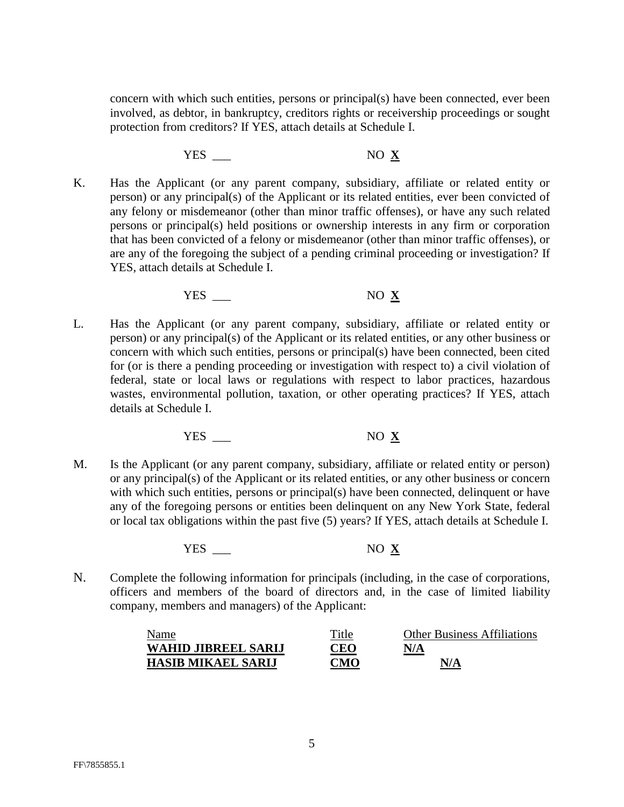concern with which such entities, persons or principal(s) have been connected, ever been involved, as debtor, in bankruptcy, creditors rights or receivership proceedings or sought protection from creditors? If YES, attach details at Schedule I.

YES \_\_\_ NO **X**

K. Has the Applicant (or any parent company, subsidiary, affiliate or related entity or person) or any principal(s) of the Applicant or its related entities, ever been convicted of any felony or misdemeanor (other than minor traffic offenses), or have any such related persons or principal(s) held positions or ownership interests in any firm or corporation that has been convicted of a felony or misdemeanor (other than minor traffic offenses), or are any of the foregoing the subject of a pending criminal proceeding or investigation? If YES, attach details at Schedule I.

YES \_\_\_ NO **X**

L. Has the Applicant (or any parent company, subsidiary, affiliate or related entity or person) or any principal(s) of the Applicant or its related entities, or any other business or concern with which such entities, persons or principal(s) have been connected, been cited for (or is there a pending proceeding or investigation with respect to) a civil violation of federal, state or local laws or regulations with respect to labor practices, hazardous wastes, environmental pollution, taxation, or other operating practices? If YES, attach details at Schedule I.

YES \_\_\_ NO **X**

M. Is the Applicant (or any parent company, subsidiary, affiliate or related entity or person) or any principal(s) of the Applicant or its related entities, or any other business or concern with which such entities, persons or principal(s) have been connected, delinquent or have any of the foregoing persons or entities been delinquent on any New York State, federal or local tax obligations within the past five (5) years? If YES, attach details at Schedule I.

YES \_\_\_ NO **X**

N. Complete the following information for principals (including, in the case of corporations, officers and members of the board of directors and, in the case of limited liability company, members and managers) of the Applicant:

| Name                       | Title | <b>Other Business Affiliations</b> |
|----------------------------|-------|------------------------------------|
| <b>WAHID JIBREEL SARIJ</b> | CEO   | N/A                                |
| <b>HASIB MIKAEL SARIJ</b>  | CMO   | N/A                                |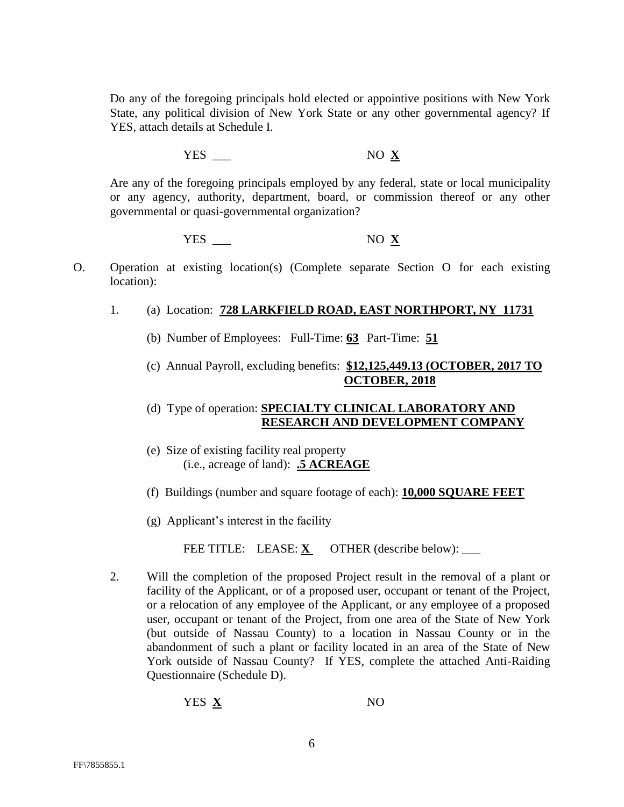Do any of the foregoing principals hold elected or appointive positions with New York State, any political division of New York State or any other governmental agency? If YES, attach details at Schedule I.

YES \_\_\_ NO **X**

Are any of the foregoing principals employed by any federal, state or local municipality or any agency, authority, department, board, or commission thereof or any other governmental or quasi-governmental organization?

YES \_\_\_ NO **X**

- O. Operation at existing location(s) (Complete separate Section O for each existing location):
	- 1. (a) Location: **728 LARKFIELD ROAD, EAST NORTHPORT, NY 11731**
		- (b) Number of Employees: Full-Time: **63** Part-Time: **51**
		- (c) Annual Payroll, excluding benefits: **\$12,125,449.13 (OCTOBER, 2017 TO OCTOBER, 2018**

## (d) Type of operation: **SPECIALTY CLINICAL LABORATORY AND RESEARCH AND DEVELOPMENT COMPANY**

- (e) Size of existing facility real property (i.e., acreage of land): **.5 ACREAGE**
- (f) Buildings (number and square footage of each): **10,000 SQUARE FEET**
- (g) Applicant's interest in the facility

2. Will the completion of the proposed Project result in the removal of a plant or facility of the Applicant, or of a proposed user, occupant or tenant of the Project, or a relocation of any employee of the Applicant, or any employee of a proposed user, occupant or tenant of the Project, from one area of the State of New York (but outside of Nassau County) to a location in Nassau County or in the abandonment of such a plant or facility located in an area of the State of New York outside of Nassau County? If YES, complete the attached Anti-Raiding Questionnaire (Schedule D).

$$
YES \underline{\mathbf{X}} \qquad \qquad NO
$$

FEE TITLE: LEASE: **X** OTHER (describe below): \_\_\_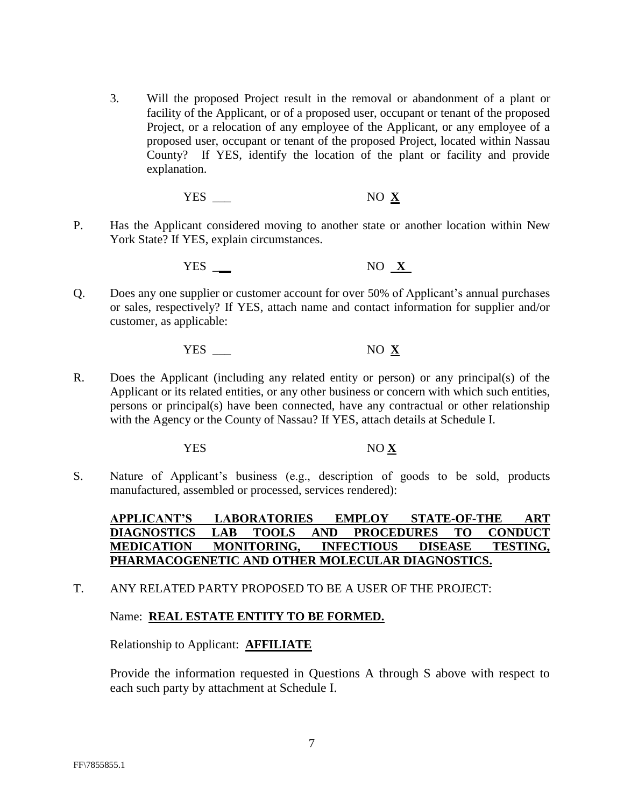3. Will the proposed Project result in the removal or abandonment of a plant or facility of the Applicant, or of a proposed user, occupant or tenant of the proposed Project, or a relocation of any employee of the Applicant, or any employee of a proposed user, occupant or tenant of the proposed Project, located within Nassau County? If YES, identify the location of the plant or facility and provide explanation.

YES \_\_\_ NO **X**

P. Has the Applicant considered moving to another state or another location within New York State? If YES, explain circumstances.

YES \_**\_\_** NO **X** 

Q. Does any one supplier or customer account for over 50% of Applicant's annual purchases or sales, respectively? If YES, attach name and contact information for supplier and/or customer, as applicable:



R. Does the Applicant (including any related entity or person) or any principal(s) of the Applicant or its related entities, or any other business or concern with which such entities, persons or principal(s) have been connected, have any contractual or other relationship with the Agency or the County of Nassau? If YES, attach details at Schedule I.

YES NO **X**

S. Nature of Applicant's business (e.g., description of goods to be sold, products manufactured, assembled or processed, services rendered):

**APPLICANT'S LABORATORIES EMPLOY STATE-OF-THE ART DIAGNOSTICS LAB TOOLS AND PROCEDURES TO CONDUCT MEDICATION MONITORING, INFECTIOUS DISEASE TESTING, PHARMACOGENETIC AND OTHER MOLECULAR DIAGNOSTICS.** 

T. ANY RELATED PARTY PROPOSED TO BE A USER OF THE PROJECT:

## Name: **REAL ESTATE ENTITY TO BE FORMED.**

Relationship to Applicant: **AFFILIATE**

Provide the information requested in Questions A through S above with respect to each such party by attachment at Schedule I.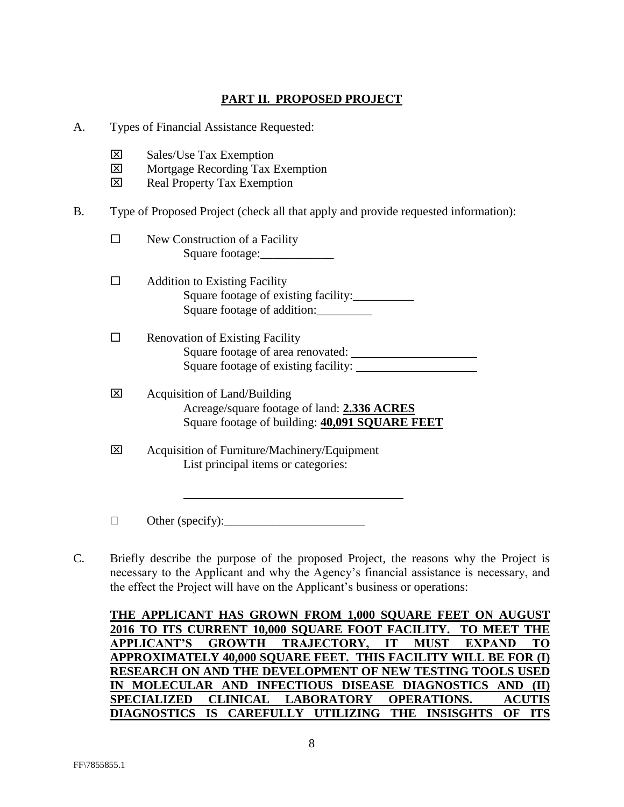## **PART II. PROPOSED PROJECT**

| Types of Financial Assistance Requested: | A. |  |  |  |  |
|------------------------------------------|----|--|--|--|--|
|------------------------------------------|----|--|--|--|--|

- Sales/Use Tax Exemption
- Mortgage Recording Tax Exemption
- Real Property Tax Exemption
- B. Type of Proposed Project (check all that apply and provide requested information):

| □ | New Construction of a Facility |  |
|---|--------------------------------|--|
|   | Square footage:                |  |

- $\Box$  Addition to Existing Facility Square footage of existing facility: Square footage of addition:\_\_\_\_\_\_\_\_\_
- $\Box$  Renovation of Existing Facility Square footage of area renovated: Square footage of existing facility:
- $\boxtimes$  Acquisition of Land/Building Acreage/square footage of land: **2.336 ACRES** Square footage of building: **40,091 SQUARE FEET**
- Acquisition of Furniture/Machinery/Equipment List principal items or categories:
- $\Box$  Other (specify):
- C. Briefly describe the purpose of the proposed Project, the reasons why the Project is necessary to the Applicant and why the Agency's financial assistance is necessary, and the effect the Project will have on the Applicant's business or operations:

**THE APPLICANT HAS GROWN FROM 1,000 SQUARE FEET ON AUGUST 2016 TO ITS CURRENT 10,000 SQUARE FOOT FACILITY. TO MEET THE APPLICANT'S GROWTH TRAJECTORY, IT MUST EXPAND TO APPROXIMATELY 40,000 SQUARE FEET. THIS FACILITY WILL BE FOR (I) RESEARCH ON AND THE DEVELOPMENT OF NEW TESTING TOOLS USED IN MOLECULAR AND INFECTIOUS DISEASE DIAGNOSTICS AND (II) SPECIALIZED CLINICAL LABORATORY OPERATIONS. ACUTIS DIAGNOSTICS IS CAREFULLY UTILIZING THE INSISGHTS OF ITS**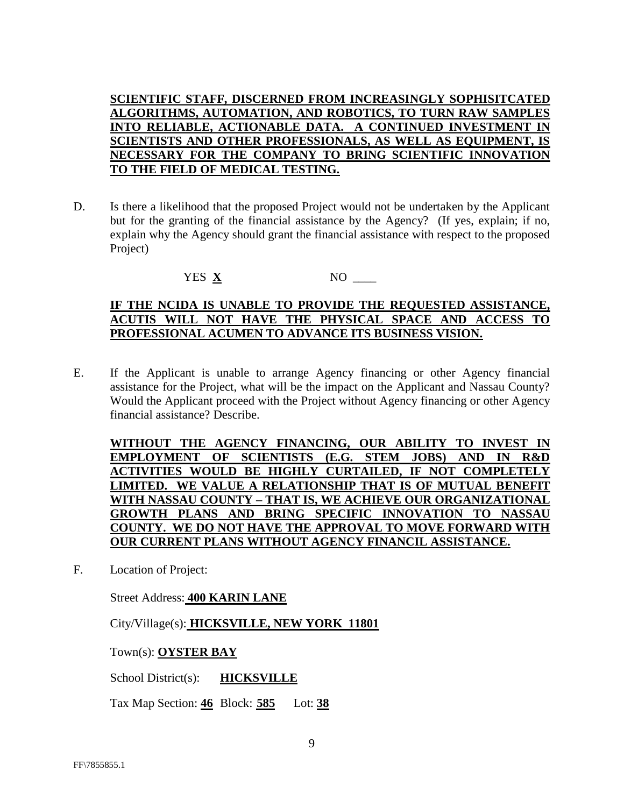**SCIENTIFIC STAFF, DISCERNED FROM INCREASINGLY SOPHISITCATED ALGORITHMS, AUTOMATION, AND ROBOTICS, TO TURN RAW SAMPLES INTO RELIABLE, ACTIONABLE DATA. A CONTINUED INVESTMENT IN SCIENTISTS AND OTHER PROFESSIONALS, AS WELL AS EQUIPMENT, IS NECESSARY FOR THE COMPANY TO BRING SCIENTIFIC INNOVATION TO THE FIELD OF MEDICAL TESTING.** 

D. Is there a likelihood that the proposed Project would not be undertaken by the Applicant but for the granting of the financial assistance by the Agency? (If yes, explain; if no, explain why the Agency should grant the financial assistance with respect to the proposed Project)

## $YES \t{X}$  NO \_\_\_\_\_\_

## **IF THE NCIDA IS UNABLE TO PROVIDE THE REQUESTED ASSISTANCE, ACUTIS WILL NOT HAVE THE PHYSICAL SPACE AND ACCESS TO PROFESSIONAL ACUMEN TO ADVANCE ITS BUSINESS VISION.**

E. If the Applicant is unable to arrange Agency financing or other Agency financial assistance for the Project, what will be the impact on the Applicant and Nassau County? Would the Applicant proceed with the Project without Agency financing or other Agency financial assistance? Describe.

**WITHOUT THE AGENCY FINANCING, OUR ABILITY TO INVEST IN EMPLOYMENT OF SCIENTISTS (E.G. STEM JOBS) AND IN R&D ACTIVITIES WOULD BE HIGHLY CURTAILED, IF NOT COMPLETELY LIMITED. WE VALUE A RELATIONSHIP THAT IS OF MUTUAL BENEFIT WITH NASSAU COUNTY – THAT IS, WE ACHIEVE OUR ORGANIZATIONAL GROWTH PLANS AND BRING SPECIFIC INNOVATION TO NASSAU COUNTY. WE DO NOT HAVE THE APPROVAL TO MOVE FORWARD WITH OUR CURRENT PLANS WITHOUT AGENCY FINANCIL ASSISTANCE.**

F. Location of Project:

Street Address: **400 KARIN LANE**

City/Village(s): **HICKSVILLE, NEW YORK 11801**

Town(s): **OYSTER BAY**

School District(s): **HICKSVILLE**

Tax Map Section: **46** Block: **585** Lot: **38**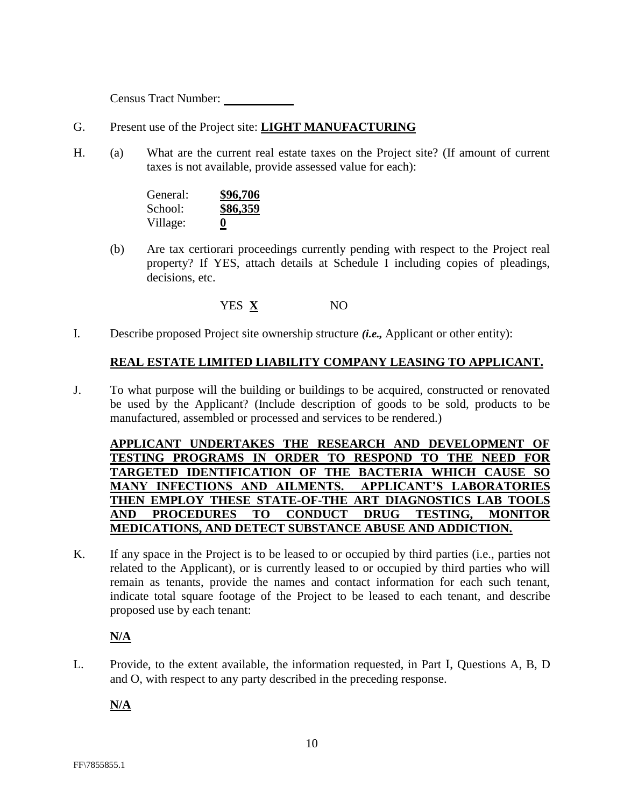Census Tract Number:

## G. Present use of the Project site: **LIGHT MANUFACTURING**

H. (a) What are the current real estate taxes on the Project site? (If amount of current taxes is not available, provide assessed value for each):

> General: **\$96,706** School: **\$86,359** Village: **0**

(b) Are tax certiorari proceedings currently pending with respect to the Project real property? If YES, attach details at Schedule I including copies of pleadings, decisions, etc.

YES **X** NO

I. Describe proposed Project site ownership structure *(i.e.,* Applicant or other entity):

## **REAL ESTATE LIMITED LIABILITY COMPANY LEASING TO APPLICANT.**

J. To what purpose will the building or buildings to be acquired, constructed or renovated be used by the Applicant? (Include description of goods to be sold, products to be manufactured, assembled or processed and services to be rendered.)

**APPLICANT UNDERTAKES THE RESEARCH AND DEVELOPMENT OF TESTING PROGRAMS IN ORDER TO RESPOND TO THE NEED FOR TARGETED IDENTIFICATION OF THE BACTERIA WHICH CAUSE SO MANY INFECTIONS AND AILMENTS. APPLICANT'S LABORATORIES THEN EMPLOY THESE STATE-OF-THE ART DIAGNOSTICS LAB TOOLS AND PROCEDURES TO CONDUCT DRUG TESTING, MONITOR MEDICATIONS, AND DETECT SUBSTANCE ABUSE AND ADDICTION.** 

K. If any space in the Project is to be leased to or occupied by third parties (i.e., parties not related to the Applicant), or is currently leased to or occupied by third parties who will remain as tenants, provide the names and contact information for each such tenant, indicate total square footage of the Project to be leased to each tenant, and describe proposed use by each tenant:

**N/A**

L. Provide, to the extent available, the information requested, in Part I, Questions A, B, D and O, with respect to any party described in the preceding response.

**N/A**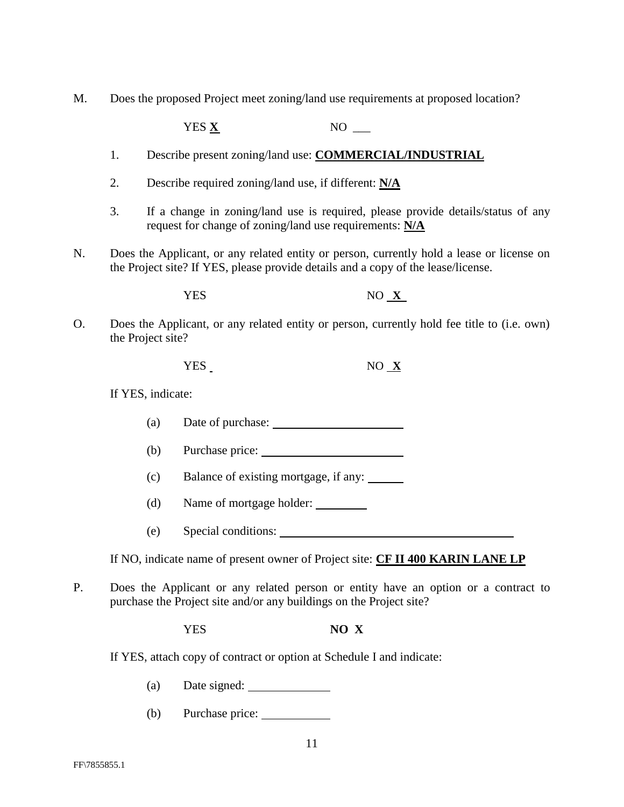M. Does the proposed Project meet zoning/land use requirements at proposed location?

YES **X** NO \_\_\_

- 1. Describe present zoning/land use: **COMMERCIAL/INDUSTRIAL**
- 2. Describe required zoning/land use, if different: **N/A**
- 3. If a change in zoning/land use is required, please provide details/status of any request for change of zoning/land use requirements: **N/A**
- N. Does the Applicant, or any related entity or person, currently hold a lease or license on the Project site? If YES, please provide details and a copy of the lease/license.

| <b>YES</b> | NO X |  |
|------------|------|--|
|            |      |  |

O. Does the Applicant, or any related entity or person, currently hold fee title to (i.e. own) the Project site?

YES NO **X** 

If YES, indicate:

(a) Date of purchase:

(b) Purchase price:

(c) Balance of existing mortgage, if any:

(d) Name of mortgage holder:

(e) Special conditions:

If NO, indicate name of present owner of Project site: **CF II 400 KARIN LANE LP**

P. Does the Applicant or any related person or entity have an option or a contract to purchase the Project site and/or any buildings on the Project site?

## YES **NO X**

If YES, attach copy of contract or option at Schedule I and indicate:

- (a) Date signed:
- (b) Purchase price: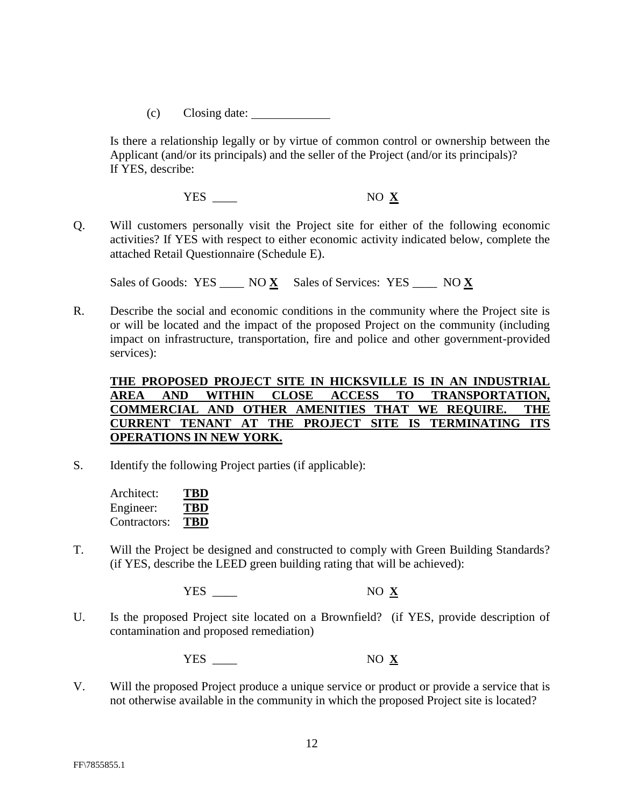(c) Closing date:

Is there a relationship legally or by virtue of common control or ownership between the Applicant (and/or its principals) and the seller of the Project (and/or its principals)? If YES, describe:

YES \_\_\_\_ NO **X**

Q. Will customers personally visit the Project site for either of the following economic activities? If YES with respect to either economic activity indicated below, complete the attached Retail Questionnaire (Schedule E).

Sales of Goods: YES \_\_\_\_ NO **X** Sales of Services: YES \_\_\_\_ NO **X** 

R. Describe the social and economic conditions in the community where the Project site is or will be located and the impact of the proposed Project on the community (including impact on infrastructure, transportation, fire and police and other government-provided services):

**THE PROPOSED PROJECT SITE IN HICKSVILLE IS IN AN INDUSTRIAL AREA AND WITHIN CLOSE ACCESS TO TRANSPORTATION, COMMERCIAL AND OTHER AMENITIES THAT WE REQUIRE. THE CURRENT TENANT AT THE PROJECT SITE IS TERMINATING ITS OPERATIONS IN NEW YORK.**

S. Identify the following Project parties (if applicable):

| Architect:   | TBD |
|--------------|-----|
| Engineer:    | TBD |
| Contractors: | TBD |

T. Will the Project be designed and constructed to comply with Green Building Standards? (if YES, describe the LEED green building rating that will be achieved):

YES \_\_\_\_ NO **X**

U. Is the proposed Project site located on a Brownfield? (if YES, provide description of contamination and proposed remediation)

YES \_\_\_\_ NO **X**

V. Will the proposed Project produce a unique service or product or provide a service that is not otherwise available in the community in which the proposed Project site is located?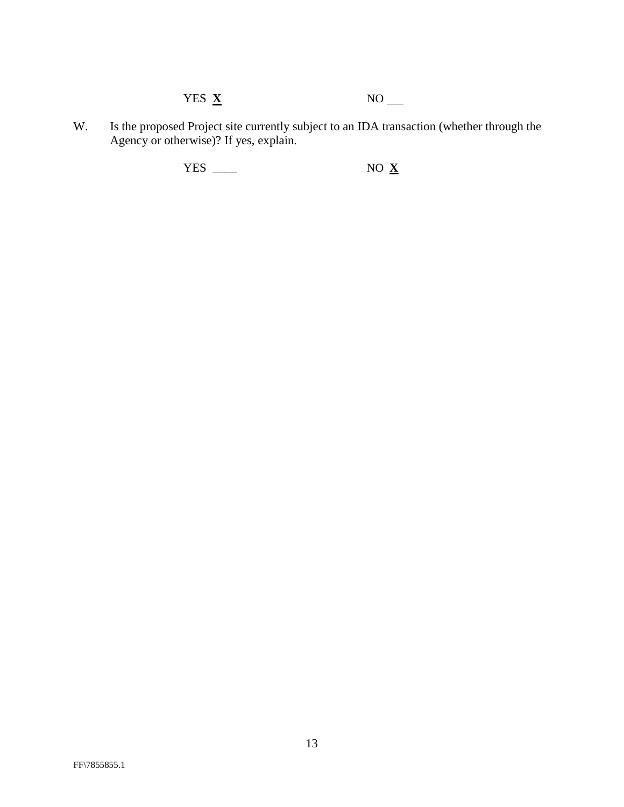YES  $\underline{\mathbf{X}}$  NO \_\_\_\_\_\_

W. Is the proposed Project site currently subject to an IDA transaction (whether through the Agency or otherwise)? If yes, explain.

YES  $\_\_\_\_\$  NO  $\mathbf{\underline{x}}$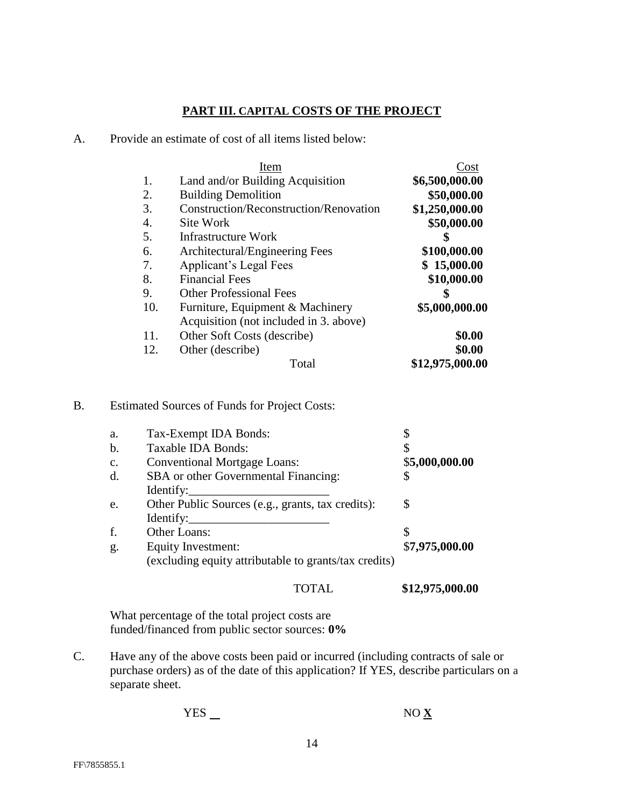## **PART III. CAPITAL COSTS OF THE PROJECT**

A. Provide an estimate of cost of all items listed below:

|     | Item                                   | Cost            |
|-----|----------------------------------------|-----------------|
| 1.  | Land and/or Building Acquisition       | \$6,500,000.00  |
| 2.  | <b>Building Demolition</b>             | \$50,000.00     |
| 3.  | Construction/Reconstruction/Renovation | \$1,250,000.00  |
| 4.  | Site Work                              | \$50,000.00     |
| 5.  | <b>Infrastructure Work</b>             |                 |
| 6.  | Architectural/Engineering Fees         | \$100,000.00    |
| 7.  | Applicant's Legal Fees                 | \$15,000.00     |
| 8.  | <b>Financial Fees</b>                  | \$10,000.00     |
| 9.  | <b>Other Professional Fees</b>         | S               |
| 10. | Furniture, Equipment & Machinery       | \$5,000,000.00  |
|     | Acquisition (not included in 3. above) |                 |
| 11. | Other Soft Costs (describe)            | \$0.00          |
| 12. | Other (describe)                       | \$0.00          |
|     | Total                                  | \$12,975,000.00 |

## B. Estimated Sources of Funds for Project Costs:

| a.        | Tax-Exempt IDA Bonds:                                 | JЭ             |
|-----------|-------------------------------------------------------|----------------|
| b.        | Taxable IDA Bonds:                                    | \$             |
| c.        | <b>Conventional Mortgage Loans:</b>                   | \$5,000,000.00 |
| $\rm d$ . | SBA or other Governmental Financing:                  |                |
|           | Identify:                                             |                |
| e.        | Other Public Sources (e.g., grants, tax credits):     | S              |
|           | Identify:                                             |                |
|           | <b>Other Loans:</b>                                   | S              |
| g.        | <b>Equity Investment:</b>                             | \$7,975,000.00 |
|           | (excluding equity attributable to grants/tax credits) |                |
|           |                                                       |                |

What percentage of the total project costs are

- funded/financed from public sector sources: **0%**
- C. Have any of the above costs been paid or incurred (including contracts of sale or purchase orders) as of the date of this application? If YES, describe particulars on a separate sheet.

| YES | NOX |
|-----|-----|
|-----|-----|

TOTAL **\$12,975,000.00**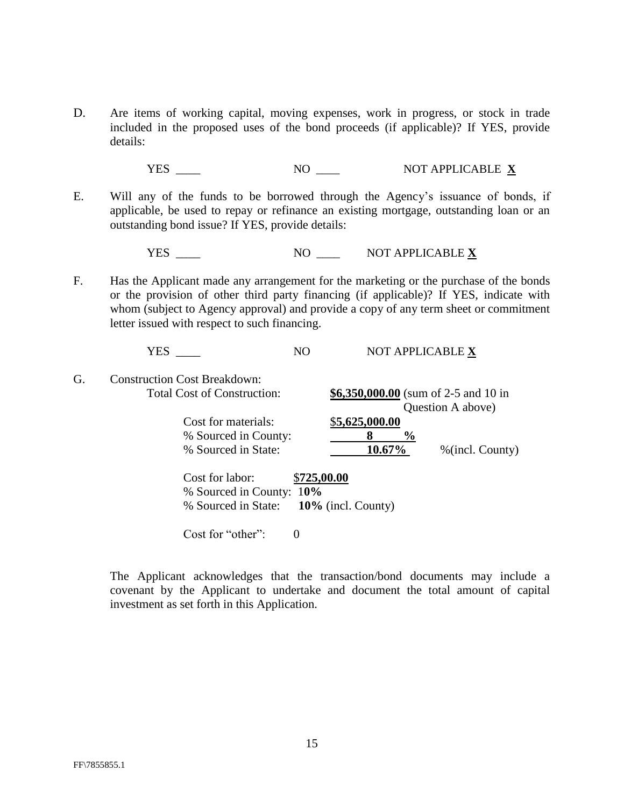D. Are items of working capital, moving expenses, work in progress, or stock in trade included in the proposed uses of the bond proceeds (if applicable)? If YES, provide details:

YES \_\_\_\_ NO \_\_\_\_ NOT APPLICABLE **X**

E. Will any of the funds to be borrowed through the Agency's issuance of bonds, if applicable, be used to repay or refinance an existing mortgage, outstanding loan or an outstanding bond issue? If YES, provide details:

YES \_\_\_ NO \_\_ NOT APPLICABLE **X** 

F. Has the Applicant made any arrangement for the marketing or the purchase of the bonds or the provision of other third party financing (if applicable)? If YES, indicate with whom (subject to Agency approval) and provide a copy of any term sheet or commitment letter issued with respect to such financing.

YES \_\_\_\_ NO NOT APPLICABLE **X**

G. Construction Cost Breakdown:

| <b>Total Cost of Construction:</b> | \$6,350,000.00 (sum of 2-5 and 10 in |                   |
|------------------------------------|--------------------------------------|-------------------|
|                                    |                                      | Question A above) |
| Cost for materials:                | \$5,625,000.00                       |                   |
| % Sourced in County:               | $\frac{6}{9}$<br>8                   |                   |
| % Sourced in State:                | 10.67%                               | % (incl. County)  |
|                                    |                                      |                   |
| \$725,00.00<br>Cost for labor:     |                                      |                   |
| % Sourced in County: 10%           |                                      |                   |
| % Sourced in State:                | $10\%$ (incl. County)                |                   |
| Cost for "other":                  |                                      |                   |

The Applicant acknowledges that the transaction/bond documents may include a covenant by the Applicant to undertake and document the total amount of capital investment as set forth in this Application.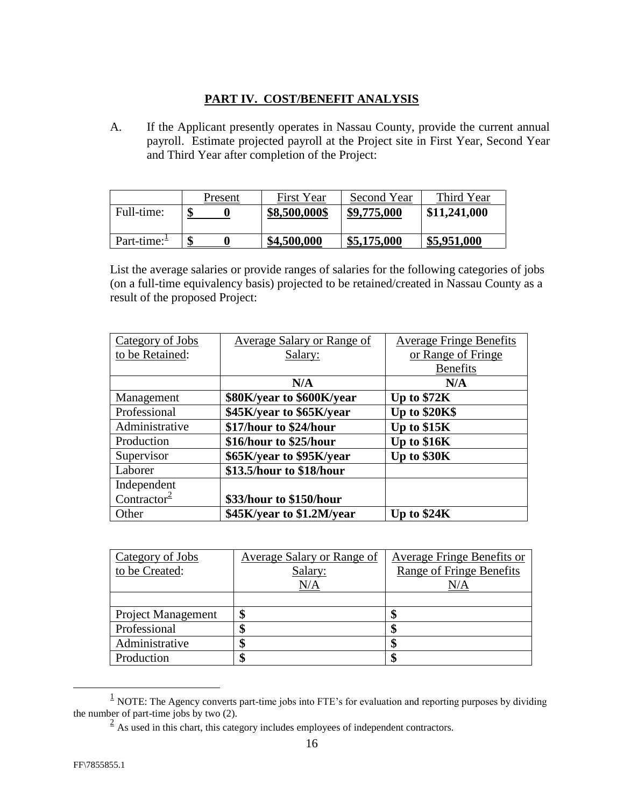## **PART IV. COST/BENEFIT ANALYSIS**

A. If the Applicant presently operates in Nassau County, provide the current annual payroll. Estimate projected payroll at the Project site in First Year, Second Year and Third Year after completion of the Project:

|                  | Present | <b>First Year</b> | Second Year | Third Year   |
|------------------|---------|-------------------|-------------|--------------|
| Full-time:       |         | \$8,500,000\$     | \$9,775,000 | \$11,241,000 |
|                  |         |                   |             |              |
| Part-time: $\pm$ |         | \$4,500,000       | \$5,175,000 | \$5,951,000  |

List the average salaries or provide ranges of salaries for the following categories of jobs (on a full-time equivalency basis) projected to be retained/created in Nassau County as a result of the proposed Project:

| Category of Jobs | <b>Average Salary or Range of</b> | <b>Average Fringe Benefits</b> |
|------------------|-----------------------------------|--------------------------------|
| to be Retained:  | Salary:                           | or Range of Fringe             |
|                  |                                   | <b>Benefits</b>                |
|                  | N/A                               | N/A                            |
| Management       | \$80K/year to \$600K/year         | Up to $$72K$                   |
| Professional     | \$45K/year to \$65K/year          | <b>Up to \$20K\$</b>           |
| Administrative   | \$17/hour to \$24/hour            | Up to \$15K                    |
| Production       | \$16/hour to \$25/hour            | Up to \$16K                    |
| Supervisor       | \$65K/year to \$95K/year          | Up to \$30K                    |
| Laborer          | \$13.5/hour to \$18/hour          |                                |
| Independent      |                                   |                                |
| Contractor $2$   | \$33/hour to \$150/hour           |                                |
| Other            | \$45K/year to \$1.2M/year         | Up to $$24K$                   |

| Category of Jobs          | Average Salary or Range of | <b>Average Fringe Benefits or</b> |
|---------------------------|----------------------------|-----------------------------------|
| to be Created:            | Salary:                    | <b>Range of Fringe Benefits</b>   |
|                           | N/A                        | N/A                               |
|                           |                            |                                   |
| <b>Project Management</b> |                            |                                   |
| Professional              |                            |                                   |
| Administrative            |                            |                                   |
| Production                |                            |                                   |

 $\frac{1}{1}$  NOTE: The Agency converts part-time jobs into FTE's for evaluation and reporting purposes by dividing the number of part-time jobs by two  $(2)$ .

 $\overline{a}$ 

 $\frac{2}{3}$  As used in this chart, this category includes employees of independent contractors.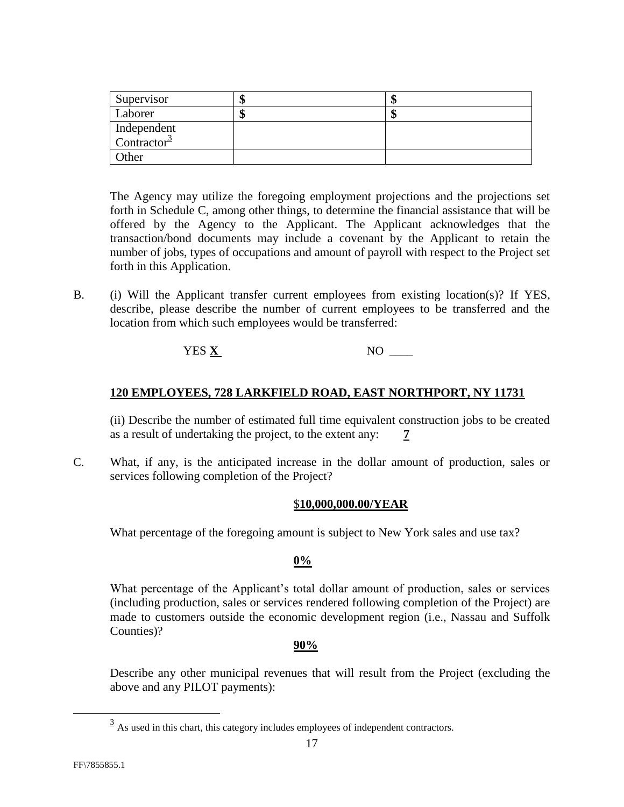| Supervisor                             |   |
|----------------------------------------|---|
| Laborer                                | w |
| Independent<br>Contractor <sup>3</sup> |   |
| Other                                  |   |

The Agency may utilize the foregoing employment projections and the projections set forth in Schedule C, among other things, to determine the financial assistance that will be offered by the Agency to the Applicant. The Applicant acknowledges that the transaction/bond documents may include a covenant by the Applicant to retain the number of jobs, types of occupations and amount of payroll with respect to the Project set forth in this Application.

B. (i) Will the Applicant transfer current employees from existing location(s)? If YES, describe, please describe the number of current employees to be transferred and the location from which such employees would be transferred:

## YES **X** NO \_\_\_\_

## **120 EMPLOYEES, 728 LARKFIELD ROAD, EAST NORTHPORT, NY 11731**

(ii) Describe the number of estimated full time equivalent construction jobs to be created as a result of undertaking the project, to the extent any: **7**

C. What, if any, is the anticipated increase in the dollar amount of production, sales or services following completion of the Project?

## \$**10,000,000.00/YEAR**

What percentage of the foregoing amount is subject to New York sales and use tax?

## **0%**

What percentage of the Applicant's total dollar amount of production, sales or services (including production, sales or services rendered following completion of the Project) are made to customers outside the economic development region (i.e., Nassau and Suffolk Counties)?

## **90%**

Describe any other municipal revenues that will result from the Project (excluding the above and any PILOT payments):

 $\overline{a}$ 

 $\frac{3}{3}$  As used in this chart, this category includes employees of independent contractors.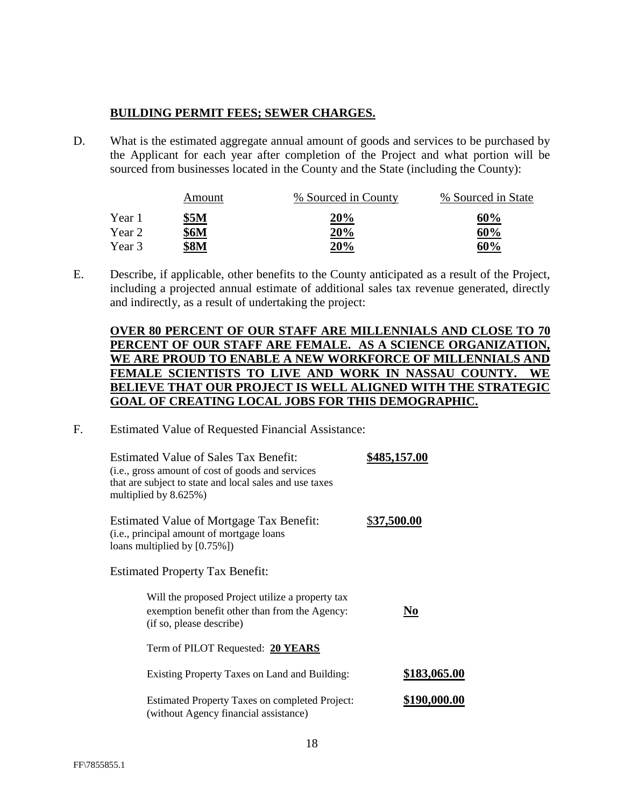## **BUILDING PERMIT FEES; SEWER CHARGES.**

D. What is the estimated aggregate annual amount of goods and services to be purchased by the Applicant for each year after completion of the Project and what portion will be sourced from businesses located in the County and the State (including the County):

|        | Amount | % Sourced in County | % Sourced in State |  |
|--------|--------|---------------------|--------------------|--|
| Year 1 | \$5M   | 20%                 | 60%                |  |
| Year 2 | \$6M   | 20%                 | 60%                |  |
| Year 3 | \$8M   | 20%                 | 60%                |  |

E. Describe, if applicable, other benefits to the County anticipated as a result of the Project, including a projected annual estimate of additional sales tax revenue generated, directly and indirectly, as a result of undertaking the project:

## **OVER 80 PERCENT OF OUR STAFF ARE MILLENNIALS AND CLOSE TO 70 PERCENT OF OUR STAFF ARE FEMALE. AS A SCIENCE ORGANIZATION, WE ARE PROUD TO ENABLE A NEW WORKFORCE OF MILLENNIALS AND FEMALE SCIENTISTS TO LIVE AND WORK IN NASSAU COUNTY. WE BELIEVE THAT OUR PROJECT IS WELL ALIGNED WITH THE STRATEGIC GOAL OF CREATING LOCAL JOBS FOR THIS DEMOGRAPHIC.**

## F. Estimated Value of Requested Financial Assistance:

| <b>Estimated Value of Sales Tax Benefit:</b><br>(i.e., gross amount of cost of goods and services<br>that are subject to state and local sales and use taxes<br>multiplied by 8.625%) |                                                                                                   | \$485,157.00 |
|---------------------------------------------------------------------------------------------------------------------------------------------------------------------------------------|---------------------------------------------------------------------------------------------------|--------------|
| Estimated Value of Mortgage Tax Benefit:<br>(i.e., principal amount of mortgage loans<br>loans multiplied by $[0.75\%]$                                                               |                                                                                                   | \$37,500.00  |
| <b>Estimated Property Tax Benefit:</b>                                                                                                                                                |                                                                                                   |              |
| (if so, please describe)                                                                                                                                                              | Will the proposed Project utilize a property tax<br>exemption benefit other than from the Agency: | No           |
| Term of PILOT Requested: 20 YEARS                                                                                                                                                     |                                                                                                   |              |
|                                                                                                                                                                                       | Existing Property Taxes on Land and Building:                                                     | \$183,065.00 |
| (without Agency financial assistance)                                                                                                                                                 | <b>Estimated Property Taxes on completed Project:</b>                                             | \$190,000.00 |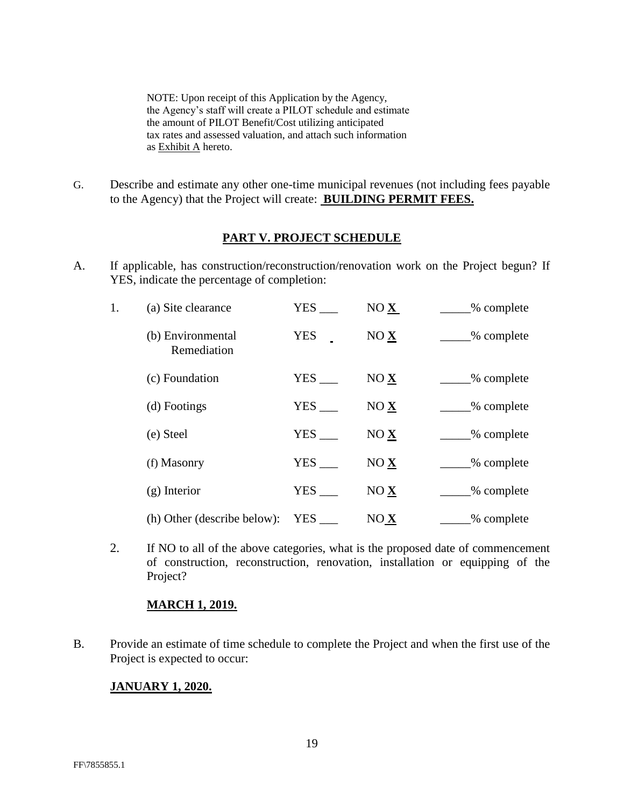NOTE: Upon receipt of this Application by the Agency, the Agency's staff will create a PILOT schedule and estimate the amount of PILOT Benefit/Cost utilizing anticipated tax rates and assessed valuation, and attach such information as Exhibit A hereto.

G. Describe and estimate any other one-time municipal revenues (not including fees payable to the Agency) that the Project will create: **BUILDING PERMIT FEES.** 

## **PART V. PROJECT SCHEDULE**

A. If applicable, has construction/reconstruction/renovation work on the Project begun? If YES, indicate the percentage of completion:

| 1. | (a) Site clearance               | <b>YES</b> | NO X               | __% complete  |
|----|----------------------------------|------------|--------------------|---------------|
|    | (b) Environmental<br>Remediation | <b>YES</b> | $NO \underline{X}$ | ___% complete |
|    | (c) Foundation                   | YES        | $NO \underline{X}$ | ___% complete |
|    | (d) Footings                     | YES        | NO X               | ___% complete |
|    | (e) Steel                        | YES        | NO X               | ___% complete |
|    | (f) Masonry                      | YES        | $NO \underline{X}$ | ___% complete |
|    | $(g)$ Interior                   | YES        | NO X               | ___% complete |
|    | (h) Other (describe below):      | <b>YES</b> | $NO_ X$            | % complete    |

2. If NO to all of the above categories, what is the proposed date of commencement of construction, reconstruction, renovation, installation or equipping of the Project?

## **MARCH 1, 2019.**

B. Provide an estimate of time schedule to complete the Project and when the first use of the Project is expected to occur:

## **JANUARY 1, 2020.**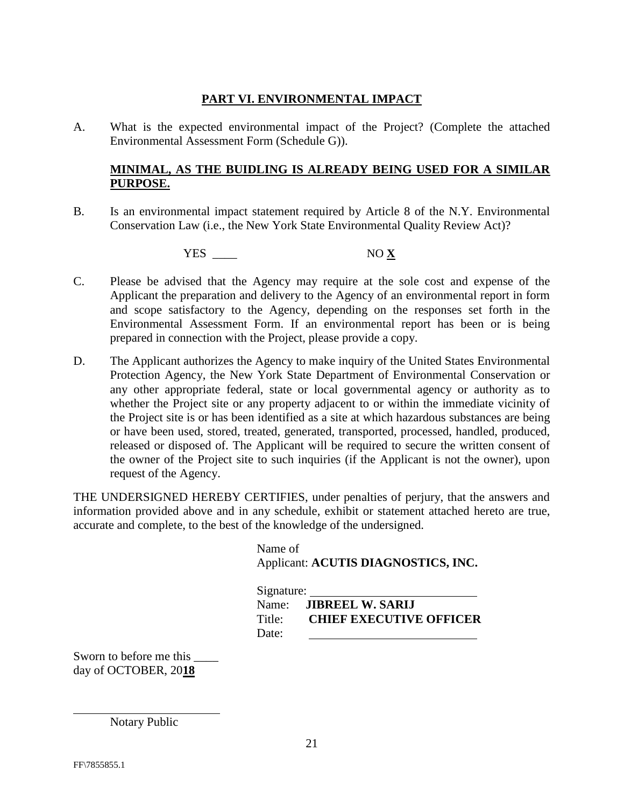## **PART VI. ENVIRONMENTAL IMPACT**

A. What is the expected environmental impact of the Project? (Complete the attached Environmental Assessment Form (Schedule G)).

## **MINIMAL, AS THE BUIDLING IS ALREADY BEING USED FOR A SIMILAR PURPOSE.**

B. Is an environmental impact statement required by Article 8 of the N.Y. Environmental Conservation Law (i.e., the New York State Environmental Quality Review Act)?

YES \_\_\_\_ NO **X**

- C. Please be advised that the Agency may require at the sole cost and expense of the Applicant the preparation and delivery to the Agency of an environmental report in form and scope satisfactory to the Agency, depending on the responses set forth in the Environmental Assessment Form. If an environmental report has been or is being prepared in connection with the Project, please provide a copy.
- D. The Applicant authorizes the Agency to make inquiry of the United States Environmental Protection Agency, the New York State Department of Environmental Conservation or any other appropriate federal, state or local governmental agency or authority as to whether the Project site or any property adjacent to or within the immediate vicinity of the Project site is or has been identified as a site at which hazardous substances are being or have been used, stored, treated, generated, transported, processed, handled, produced, released or disposed of. The Applicant will be required to secure the written consent of the owner of the Project site to such inquiries (if the Applicant is not the owner), upon request of the Agency.

THE UNDERSIGNED HEREBY CERTIFIES, under penalties of perjury, that the answers and information provided above and in any schedule, exhibit or statement attached hereto are true, accurate and complete, to the best of the knowledge of the undersigned.

> Name of Applicant: **ACUTIS DIAGNOSTICS, INC.**

Sionature<sup>.</sup>

|        | $\mathcal{L}$ .                |
|--------|--------------------------------|
|        | Name: <b>JIBREEL W. SARIJ</b>  |
| Title: | <b>CHIEF EXECUTIVE OFFICER</b> |
| Date:  |                                |

Sworn to before me this day of OCTOBER, 20**18**

Notary Public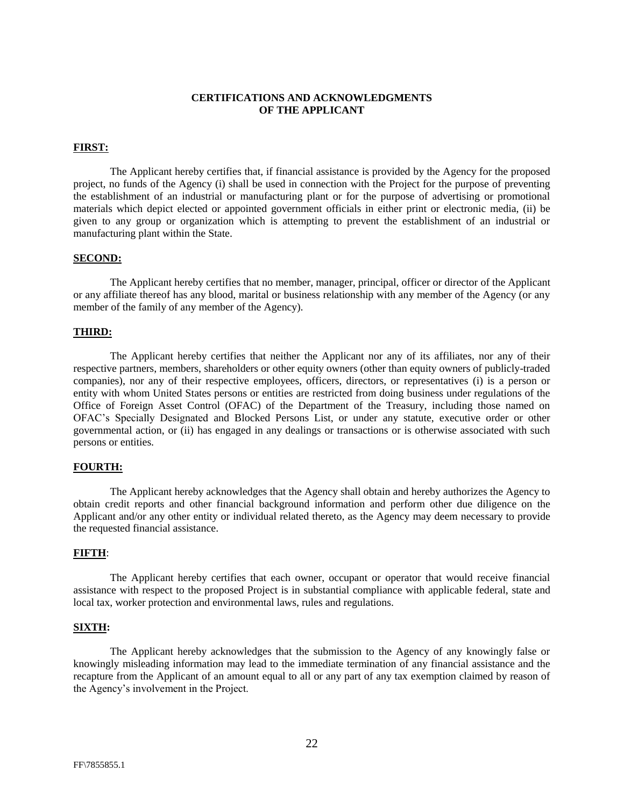#### **CERTIFICATIONS AND ACKNOWLEDGMENTS OF THE APPLICANT**

#### **FIRST:**

The Applicant hereby certifies that, if financial assistance is provided by the Agency for the proposed project, no funds of the Agency (i) shall be used in connection with the Project for the purpose of preventing the establishment of an industrial or manufacturing plant or for the purpose of advertising or promotional materials which depict elected or appointed government officials in either print or electronic media, (ii) be given to any group or organization which is attempting to prevent the establishment of an industrial or manufacturing plant within the State.

#### **SECOND:**

The Applicant hereby certifies that no member, manager, principal, officer or director of the Applicant or any affiliate thereof has any blood, marital or business relationship with any member of the Agency (or any member of the family of any member of the Agency).

#### **THIRD:**

The Applicant hereby certifies that neither the Applicant nor any of its affiliates, nor any of their respective partners, members, shareholders or other equity owners (other than equity owners of publicly-traded companies), nor any of their respective employees, officers, directors, or representatives (i) is a person or entity with whom United States persons or entities are restricted from doing business under regulations of the Office of Foreign Asset Control (OFAC) of the Department of the Treasury, including those named on OFAC's Specially Designated and Blocked Persons List, or under any statute, executive order or other governmental action, or (ii) has engaged in any dealings or transactions or is otherwise associated with such persons or entities.

#### **FOURTH:**

The Applicant hereby acknowledges that the Agency shall obtain and hereby authorizes the Agency to obtain credit reports and other financial background information and perform other due diligence on the Applicant and/or any other entity or individual related thereto, as the Agency may deem necessary to provide the requested financial assistance.

#### **FIFTH**:

The Applicant hereby certifies that each owner, occupant or operator that would receive financial assistance with respect to the proposed Project is in substantial compliance with applicable federal, state and local tax, worker protection and environmental laws, rules and regulations.

#### **SIXTH:**

The Applicant hereby acknowledges that the submission to the Agency of any knowingly false or knowingly misleading information may lead to the immediate termination of any financial assistance and the recapture from the Applicant of an amount equal to all or any part of any tax exemption claimed by reason of the Agency's involvement in the Project.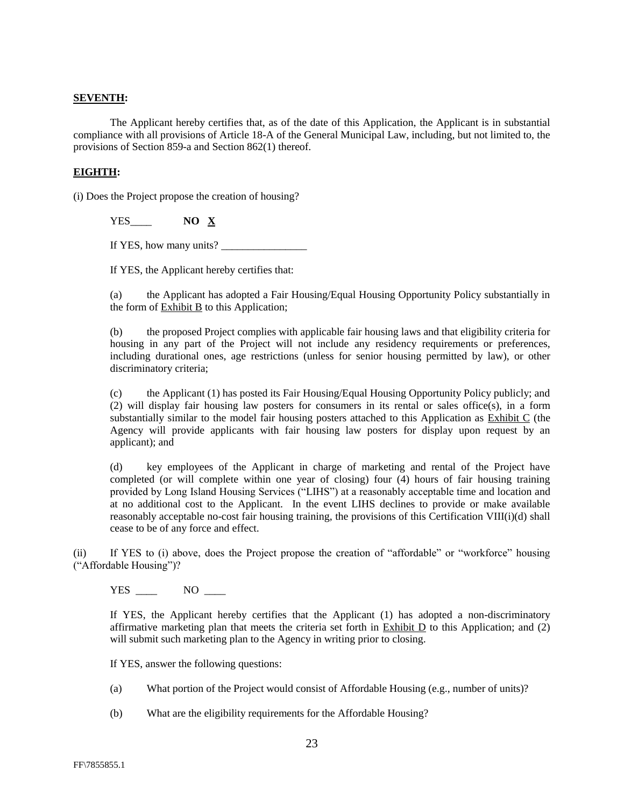#### **SEVENTH:**

The Applicant hereby certifies that, as of the date of this Application, the Applicant is in substantial compliance with all provisions of Article 18-A of the General Municipal Law, including, but not limited to, the provisions of Section 859-a and Section 862(1) thereof.

#### **EIGHTH:**

(i) Does the Project propose the creation of housing?

YES\_\_\_\_ **NO X**

If YES, how many units? \_\_\_\_\_\_\_\_\_\_\_\_\_\_\_\_

If YES, the Applicant hereby certifies that:

(a) the Applicant has adopted a Fair Housing/Equal Housing Opportunity Policy substantially in the form of Exhibit B to this Application;

(b) the proposed Project complies with applicable fair housing laws and that eligibility criteria for housing in any part of the Project will not include any residency requirements or preferences, including durational ones, age restrictions (unless for senior housing permitted by law), or other discriminatory criteria;

(c) the Applicant (1) has posted its Fair Housing/Equal Housing Opportunity Policy publicly; and (2) will display fair housing law posters for consumers in its rental or sales office(s), in a form substantially similar to the model fair housing posters attached to this Application as Exhibit C (the Agency will provide applicants with fair housing law posters for display upon request by an applicant); and

(d) key employees of the Applicant in charge of marketing and rental of the Project have completed (or will complete within one year of closing) four (4) hours of fair housing training provided by Long Island Housing Services ("LIHS") at a reasonably acceptable time and location and at no additional cost to the Applicant. In the event LIHS declines to provide or make available reasonably acceptable no-cost fair housing training, the provisions of this Certification VIII(i)(d) shall cease to be of any force and effect.

(ii) If YES to (i) above, does the Project propose the creation of "affordable" or "workforce" housing ("Affordable Housing")?

YES \_\_\_\_\_\_ NO \_\_\_\_

If YES, the Applicant hereby certifies that the Applicant (1) has adopted a non-discriminatory affirmative marketing plan that meets the criteria set forth in Exhibit D to this Application; and (2) will submit such marketing plan to the Agency in writing prior to closing.

If YES, answer the following questions:

- (a) What portion of the Project would consist of Affordable Housing (e.g., number of units)?
- (b) What are the eligibility requirements for the Affordable Housing?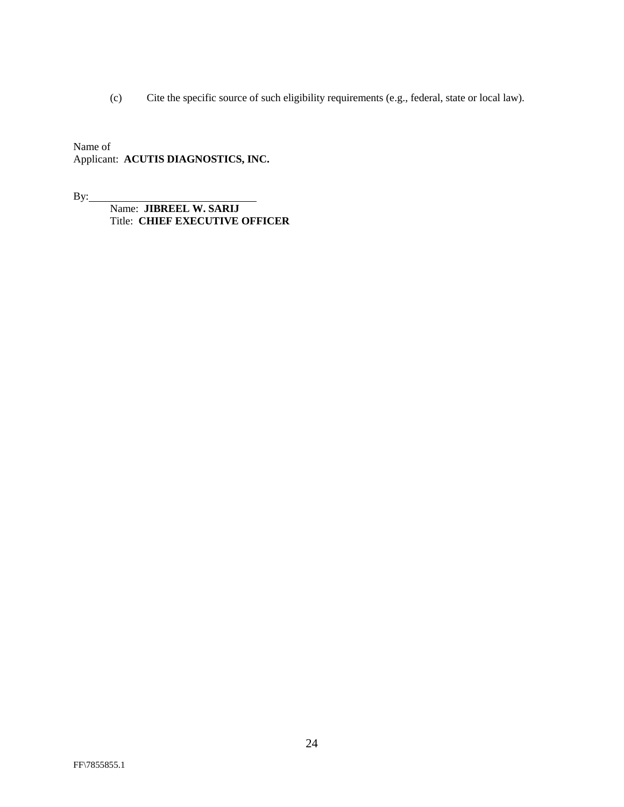(c) Cite the specific source of such eligibility requirements (e.g., federal, state or local law).

Name of Applicant: **ACUTIS DIAGNOSTICS, INC.**

 $By:$ 

Name: **JIBREEL W. SARIJ** Title: **CHIEF EXECUTIVE OFFICER**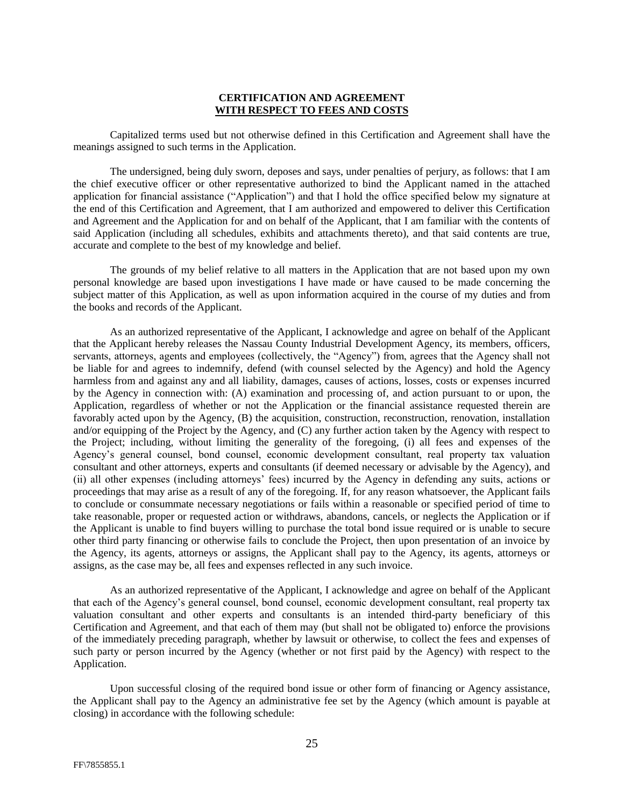#### **CERTIFICATION AND AGREEMENT WITH RESPECT TO FEES AND COSTS**

Capitalized terms used but not otherwise defined in this Certification and Agreement shall have the meanings assigned to such terms in the Application.

The undersigned, being duly sworn, deposes and says, under penalties of perjury, as follows: that I am the chief executive officer or other representative authorized to bind the Applicant named in the attached application for financial assistance ("Application") and that I hold the office specified below my signature at the end of this Certification and Agreement, that I am authorized and empowered to deliver this Certification and Agreement and the Application for and on behalf of the Applicant, that I am familiar with the contents of said Application (including all schedules, exhibits and attachments thereto), and that said contents are true, accurate and complete to the best of my knowledge and belief.

The grounds of my belief relative to all matters in the Application that are not based upon my own personal knowledge are based upon investigations I have made or have caused to be made concerning the subject matter of this Application, as well as upon information acquired in the course of my duties and from the books and records of the Applicant.

As an authorized representative of the Applicant, I acknowledge and agree on behalf of the Applicant that the Applicant hereby releases the Nassau County Industrial Development Agency, its members, officers, servants, attorneys, agents and employees (collectively, the "Agency") from, agrees that the Agency shall not be liable for and agrees to indemnify, defend (with counsel selected by the Agency) and hold the Agency harmless from and against any and all liability, damages, causes of actions, losses, costs or expenses incurred by the Agency in connection with: (A) examination and processing of, and action pursuant to or upon, the Application, regardless of whether or not the Application or the financial assistance requested therein are favorably acted upon by the Agency, (B) the acquisition, construction, reconstruction, renovation, installation and/or equipping of the Project by the Agency, and (C) any further action taken by the Agency with respect to the Project; including, without limiting the generality of the foregoing, (i) all fees and expenses of the Agency's general counsel, bond counsel, economic development consultant, real property tax valuation consultant and other attorneys, experts and consultants (if deemed necessary or advisable by the Agency), and (ii) all other expenses (including attorneys' fees) incurred by the Agency in defending any suits, actions or proceedings that may arise as a result of any of the foregoing. If, for any reason whatsoever, the Applicant fails to conclude or consummate necessary negotiations or fails within a reasonable or specified period of time to take reasonable, proper or requested action or withdraws, abandons, cancels, or neglects the Application or if the Applicant is unable to find buyers willing to purchase the total bond issue required or is unable to secure other third party financing or otherwise fails to conclude the Project, then upon presentation of an invoice by the Agency, its agents, attorneys or assigns, the Applicant shall pay to the Agency, its agents, attorneys or assigns, as the case may be, all fees and expenses reflected in any such invoice.

As an authorized representative of the Applicant, I acknowledge and agree on behalf of the Applicant that each of the Agency's general counsel, bond counsel, economic development consultant, real property tax valuation consultant and other experts and consultants is an intended third-party beneficiary of this Certification and Agreement, and that each of them may (but shall not be obligated to) enforce the provisions of the immediately preceding paragraph, whether by lawsuit or otherwise, to collect the fees and expenses of such party or person incurred by the Agency (whether or not first paid by the Agency) with respect to the Application.

Upon successful closing of the required bond issue or other form of financing or Agency assistance, the Applicant shall pay to the Agency an administrative fee set by the Agency (which amount is payable at closing) in accordance with the following schedule: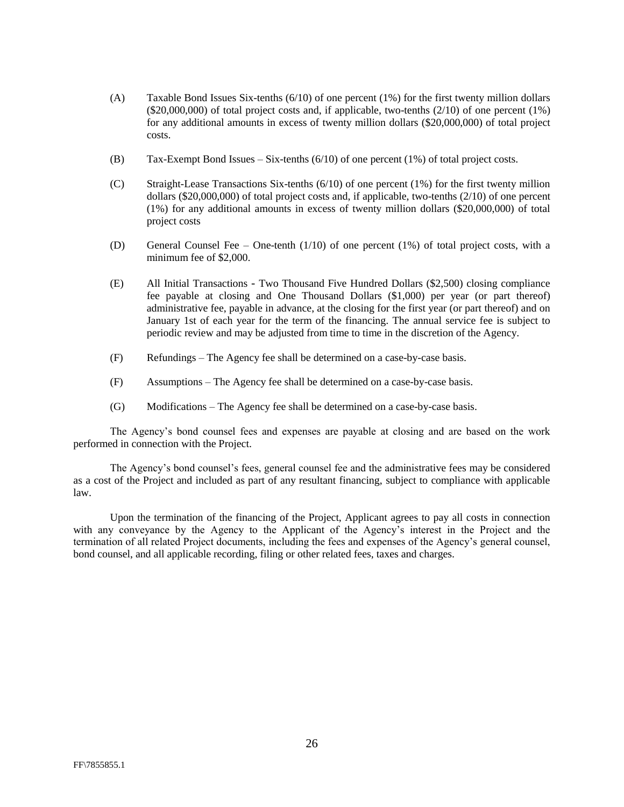- (A) Taxable Bond Issues Six-tenths (6/10) of one percent (1%) for the first twenty million dollars  $(\$20,000,000)$  of total project costs and, if applicable, two-tenths  $(2/10)$  of one percent  $(1%)$ for any additional amounts in excess of twenty million dollars (\$20,000,000) of total project costs.
- (B) Tax-Exempt Bond Issues Six-tenths  $(6/10)$  of one percent (1%) of total project costs.
- (C) Straight-Lease Transactions Six-tenths (6/10) of one percent (1%) for the first twenty million dollars (\$20,000,000) of total project costs and, if applicable, two-tenths (2/10) of one percent (1%) for any additional amounts in excess of twenty million dollars (\$20,000,000) of total project costs
- (D) General Counsel Fee One-tenth (1/10) of one percent (1%) of total project costs, with a minimum fee of \$2,000.
- (E) All Initial Transactions Two Thousand Five Hundred Dollars (\$2,500) closing compliance fee payable at closing and One Thousand Dollars (\$1,000) per year (or part thereof) administrative fee, payable in advance, at the closing for the first year (or part thereof) and on January 1st of each year for the term of the financing. The annual service fee is subject to periodic review and may be adjusted from time to time in the discretion of the Agency.
- (F) Refundings The Agency fee shall be determined on a case-by-case basis.
- (F) Assumptions The Agency fee shall be determined on a case-by-case basis.
- (G) Modifications The Agency fee shall be determined on a case-by-case basis.

The Agency's bond counsel fees and expenses are payable at closing and are based on the work performed in connection with the Project.

The Agency's bond counsel's fees, general counsel fee and the administrative fees may be considered as a cost of the Project and included as part of any resultant financing, subject to compliance with applicable law.

Upon the termination of the financing of the Project, Applicant agrees to pay all costs in connection with any conveyance by the Agency to the Applicant of the Agency's interest in the Project and the termination of all related Project documents, including the fees and expenses of the Agency's general counsel, bond counsel, and all applicable recording, filing or other related fees, taxes and charges.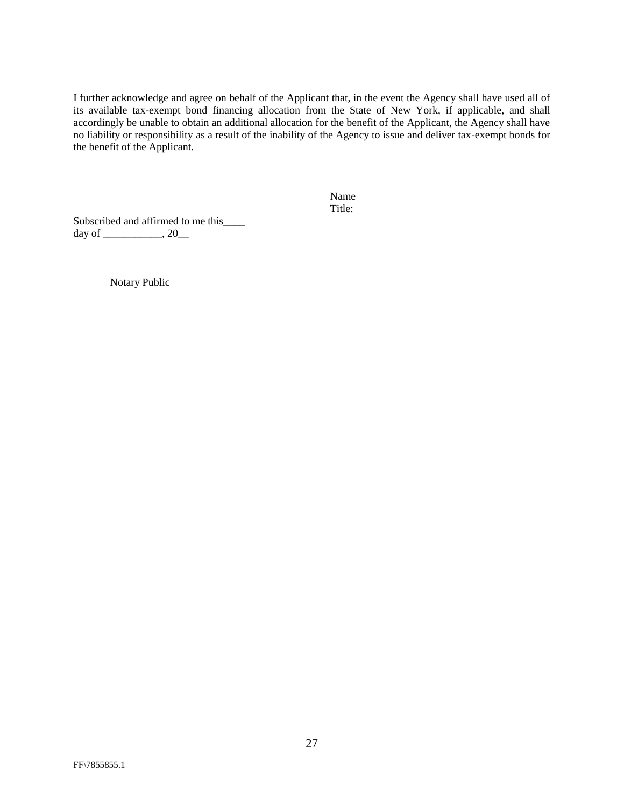I further acknowledge and agree on behalf of the Applicant that, in the event the Agency shall have used all of its available tax-exempt bond financing allocation from the State of New York, if applicable, and shall accordingly be unable to obtain an additional allocation for the benefit of the Applicant, the Agency shall have no liability or responsibility as a result of the inability of the Agency to issue and deliver tax-exempt bonds for the benefit of the Applicant.

> Name Title:

Subscribed and affirmed to me this\_\_\_\_ day of \_\_\_\_\_\_\_\_\_\_\_, 20\_\_

Notary Public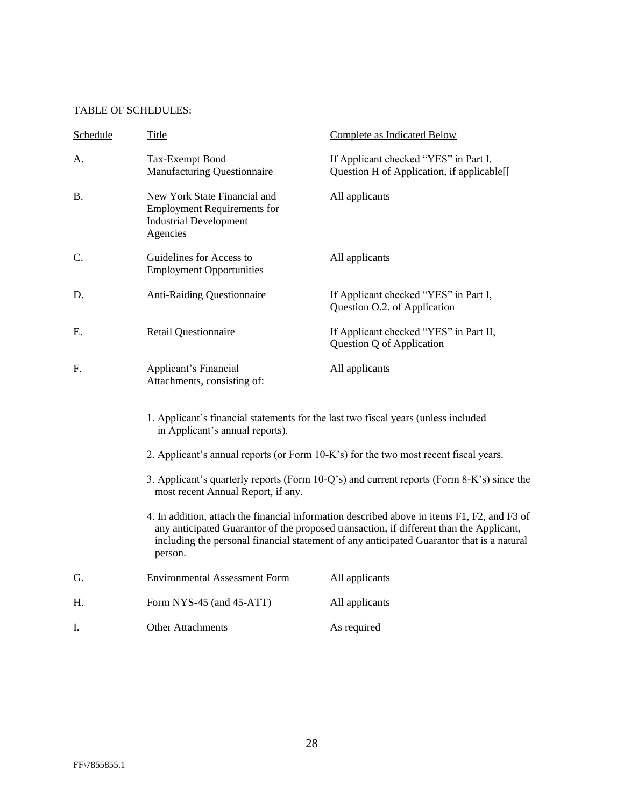## TABLE OF SCHEDULES:

| Schedule  | Title                                                                                                           | <b>Complete as Indicated Below</b>                                                                                                                                                                                                                                                  |
|-----------|-----------------------------------------------------------------------------------------------------------------|-------------------------------------------------------------------------------------------------------------------------------------------------------------------------------------------------------------------------------------------------------------------------------------|
| A.        | Tax-Exempt Bond<br>Manufacturing Questionnaire                                                                  | If Applicant checked "YES" in Part I,<br>Question H of Application, if applicable[[                                                                                                                                                                                                 |
| <b>B.</b> | New York State Financial and<br><b>Employment Requirements for</b><br><b>Industrial Development</b><br>Agencies | All applicants                                                                                                                                                                                                                                                                      |
| C.        | Guidelines for Access to<br><b>Employment Opportunities</b>                                                     | All applicants                                                                                                                                                                                                                                                                      |
| D.        | <b>Anti-Raiding Questionnaire</b>                                                                               | If Applicant checked "YES" in Part I,<br>Question O.2. of Application                                                                                                                                                                                                               |
| Е.        | Retail Questionnaire                                                                                            | If Applicant checked "YES" in Part II,<br>Question Q of Application                                                                                                                                                                                                                 |
| F.        | Applicant's Financial<br>Attachments, consisting of:                                                            | All applicants                                                                                                                                                                                                                                                                      |
|           | in Applicant's annual reports).                                                                                 | 1. Applicant's financial statements for the last two fiscal years (unless included                                                                                                                                                                                                  |
|           |                                                                                                                 | 2. Applicant's annual reports (or Form 10-K's) for the two most recent fiscal years.                                                                                                                                                                                                |
|           | most recent Annual Report, if any.                                                                              | 3. Applicant's quarterly reports (Form 10-Q's) and current reports (Form 8-K's) since the                                                                                                                                                                                           |
|           | person.                                                                                                         | 4. In addition, attach the financial information described above in items F1, F2, and F3 of<br>any anticipated Guarantor of the proposed transaction, if different than the Applicant,<br>including the personal financial statement of any anticipated Guarantor that is a natural |
| G.        | <b>Environmental Assessment Form</b>                                                                            | All applicants                                                                                                                                                                                                                                                                      |
| H.        | Form NYS-45 (and 45-ATT)                                                                                        | All applicants                                                                                                                                                                                                                                                                      |
| I.        | <b>Other Attachments</b>                                                                                        | As required                                                                                                                                                                                                                                                                         |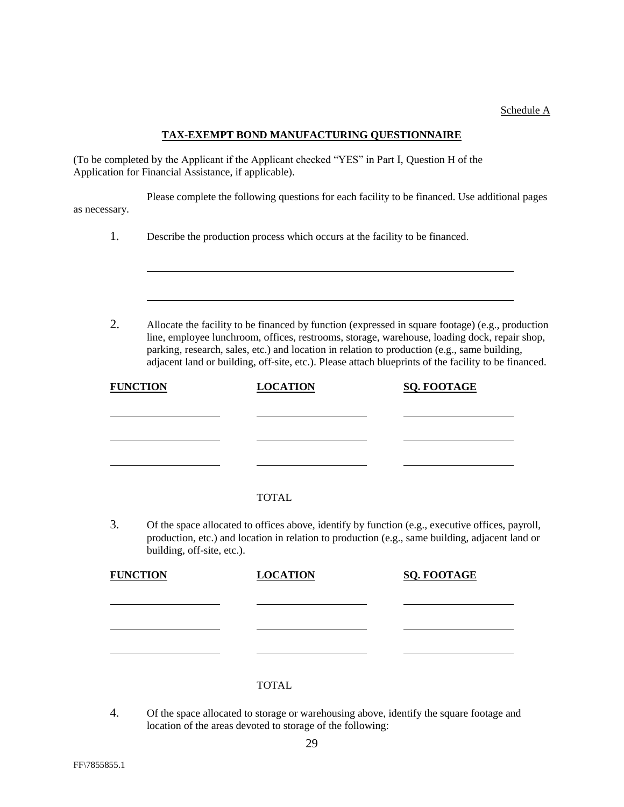#### Schedule A

#### **TAX-EXEMPT BOND MANUFACTURING QUESTIONNAIRE**

(To be completed by the Applicant if the Applicant checked "YES" in Part I, Question H of the Application for Financial Assistance, if applicable).

Please complete the following questions for each facility to be financed. Use additional pages as necessary.

- 1. Describe the production process which occurs at the facility to be financed.
- 2. Allocate the facility to be financed by function (expressed in square footage) (e.g., production line, employee lunchroom, offices, restrooms, storage, warehouse, loading dock, repair shop, parking, research, sales, etc.) and location in relation to production (e.g., same building, adjacent land or building, off-site, etc.). Please attach blueprints of the facility to be financed.

| <b>FUNCTION</b> | <b>LOCATION</b> | <b>SQ. FOOTAGE</b> |
|-----------------|-----------------|--------------------|
|                 |                 |                    |
|                 |                 |                    |
|                 |                 |                    |

#### TOTAL

3. Of the space allocated to offices above, identify by function (e.g., executive offices, payroll, production, etc.) and location in relation to production (e.g., same building, adjacent land or building, off-site, etc.).

| <b>FUNCTION</b> | <b>LOCATION</b> | <b>SQ. FOOTAGE</b> |
|-----------------|-----------------|--------------------|
|                 |                 |                    |
|                 |                 |                    |
|                 |                 |                    |

#### TOTAL

4. Of the space allocated to storage or warehousing above, identify the square footage and location of the areas devoted to storage of the following: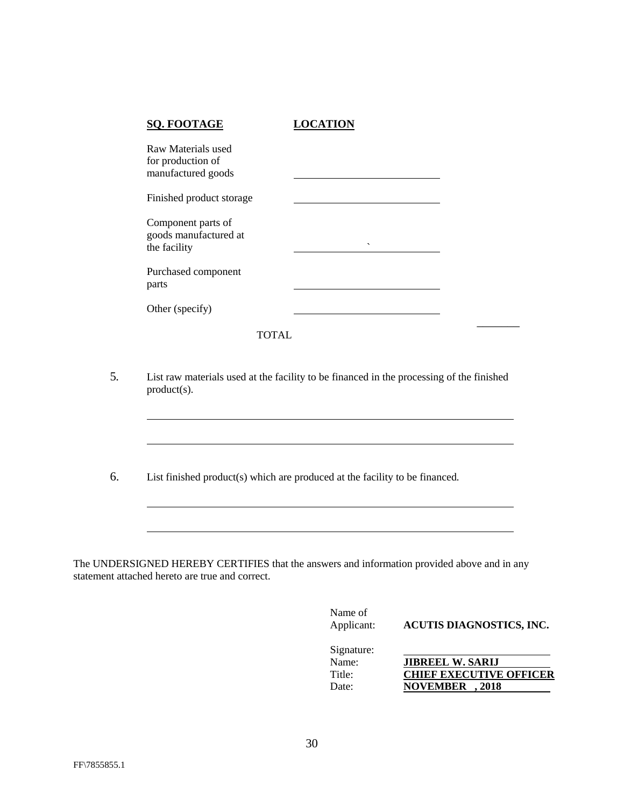| <b>SO. FOOTAGE</b>                                            |        | <b>LOCATION</b> |
|---------------------------------------------------------------|--------|-----------------|
| Raw Materials used<br>for production of<br>manufactured goods |        |                 |
| Finished product storage                                      |        |                 |
| Component parts of<br>goods manufactured at<br>the facility   |        | ↖               |
| Purchased component<br>parts                                  |        |                 |
| Other (specify)                                               |        |                 |
|                                                               | TOTAL. |                 |

5*.* List raw materials used at the facility to be financed in the processing of the finished product(s).

6. List finished product(s) which are produced at the facility to be financed.

The UNDERSIGNED HEREBY CERTIFIES that the answers and information provided above and in any statement attached hereto are true and correct.

Name of

Applicant: **ACUTIS DIAGNOSTICS, INC.**

\_\_\_\_\_\_\_

Signature:<br>Name:

Name: **JIBREEL W. SARIJ**<br>Title: **CHIEF EXECUTIVE CHIEF EXECUTIVE OFFICER** Date: **NOVEMBER** , 2018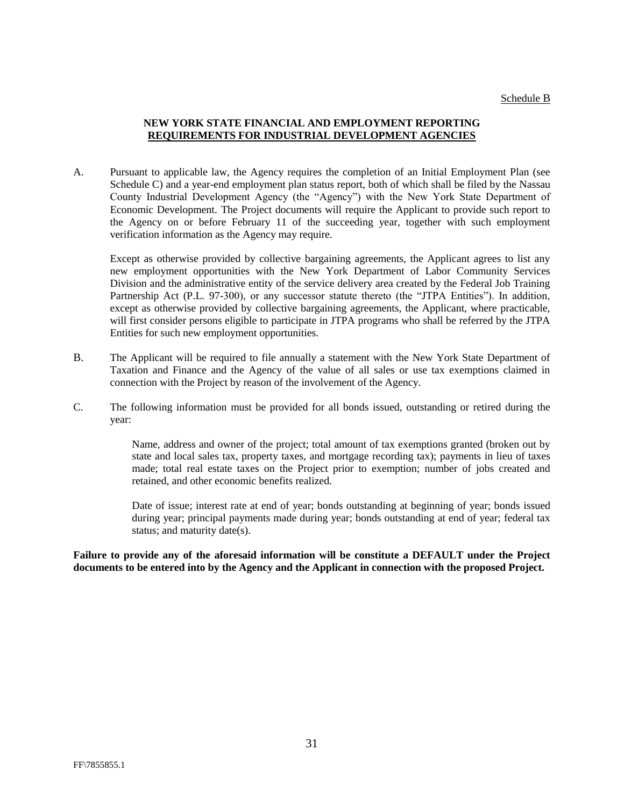#### Schedule B

#### **NEW YORK STATE FINANCIAL AND EMPLOYMENT REPORTING REQUIREMENTS FOR INDUSTRIAL DEVELOPMENT AGENCIES**

A. Pursuant to applicable law, the Agency requires the completion of an Initial Employment Plan (see Schedule C) and a year-end employment plan status report, both of which shall be filed by the Nassau County Industrial Development Agency (the "Agency") with the New York State Department of Economic Development. The Project documents will require the Applicant to provide such report to the Agency on or before February 11 of the succeeding year, together with such employment verification information as the Agency may require.

Except as otherwise provided by collective bargaining agreements, the Applicant agrees to list any new employment opportunities with the New York Department of Labor Community Services Division and the administrative entity of the service delivery area created by the Federal Job Training Partnership Act (P.L. 97-300), or any successor statute thereto (the "JTPA Entities"). In addition, except as otherwise provided by collective bargaining agreements, the Applicant, where practicable, will first consider persons eligible to participate in JTPA programs who shall be referred by the JTPA Entities for such new employment opportunities.

- B. The Applicant will be required to file annually a statement with the New York State Department of Taxation and Finance and the Agency of the value of all sales or use tax exemptions claimed in connection with the Project by reason of the involvement of the Agency.
- C. The following information must be provided for all bonds issued, outstanding or retired during the year:

Name, address and owner of the project; total amount of tax exemptions granted (broken out by state and local sales tax, property taxes, and mortgage recording tax); payments in lieu of taxes made; total real estate taxes on the Project prior to exemption; number of jobs created and retained, and other economic benefits realized.

Date of issue; interest rate at end of year; bonds outstanding at beginning of year; bonds issued during year; principal payments made during year; bonds outstanding at end of year; federal tax status; and maturity date(s).

**Failure to provide any of the aforesaid information will be constitute a DEFAULT under the Project documents to be entered into by the Agency and the Applicant in connection with the proposed Project.**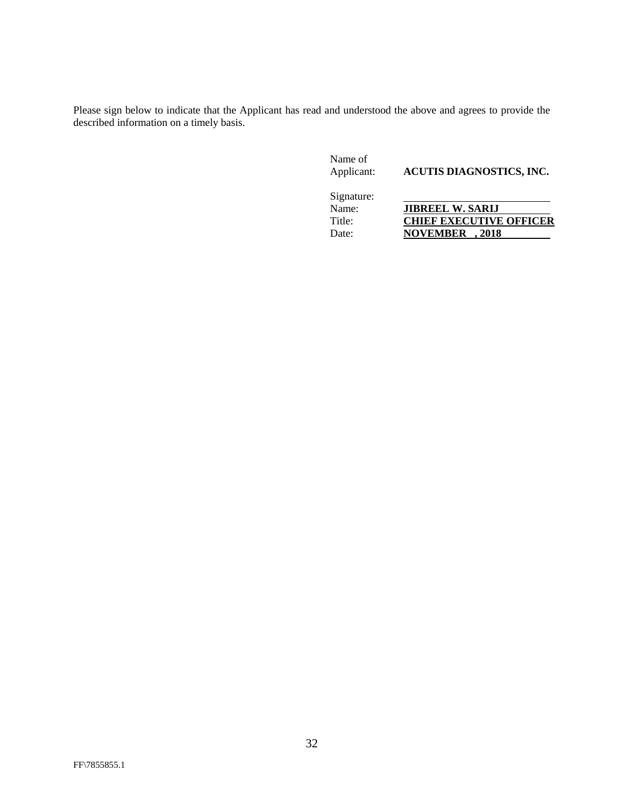Please sign below to indicate that the Applicant has read and understood the above and agrees to provide the described information on a timely basis.

Name of<br>Applicant:

**ACUTIS DIAGNOSTICS, INC.** 

Signature:<br>Name:

Name: **JIBREEL W. SARIJ** Title: **CHIEF EXECUTIVE OFFICER** Date: **NOVEMBER** , 2018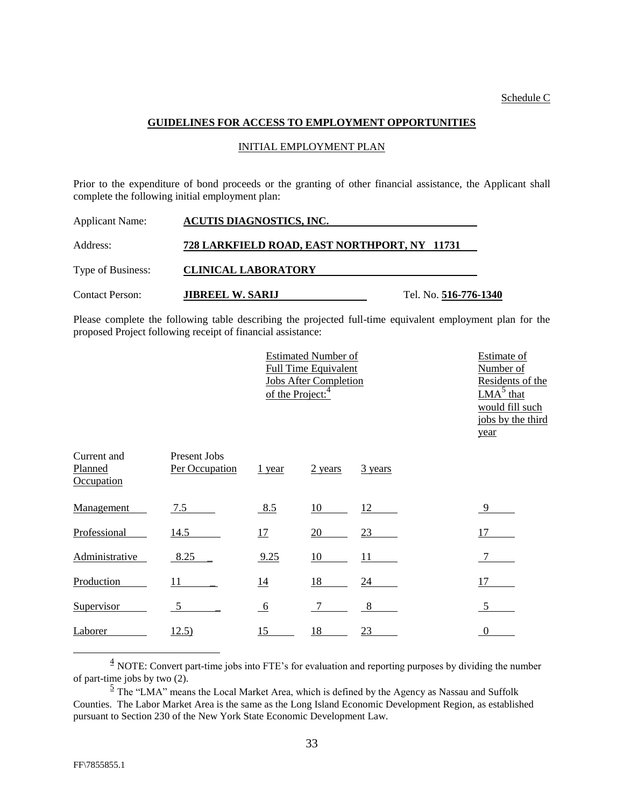Schedule C

## **GUIDELINES FOR ACCESS TO EMPLOYMENT OPPORTUNITIES**

INITIAL EMPLOYMENT PLAN

Prior to the expenditure of bond proceeds or the granting of other financial assistance, the Applicant shall complete the following initial employment plan:

| <b>Applicant Name:</b> | <b>ACUTIS DIAGNOSTICS, INC.</b>              |                       |  |  |  |
|------------------------|----------------------------------------------|-----------------------|--|--|--|
| Address:               | 728 LARKFIELD ROAD, EAST NORTHPORT, NY 11731 |                       |  |  |  |
| Type of Business:      | <b>CLINICAL LABORATORY</b>                   |                       |  |  |  |
| <b>Contact Person:</b> | <b>JIBREEL W. SARIJ</b>                      | Tel. No. 516-776-1340 |  |  |  |

Please complete the following table describing the projected full-time equivalent employment plan for the proposed Project following receipt of financial assistance:

|                                             | <b>Estimated Number of</b><br><b>Full Time Equivalent</b><br><b>Jobs After Completion</b><br>of the Project: <sup>4</sup> |               |           |         | <b>Estimate of</b><br>Number of<br>Residents of the<br>$LMA5$ that<br>would fill such<br>jobs by the third<br>year |
|---------------------------------------------|---------------------------------------------------------------------------------------------------------------------------|---------------|-----------|---------|--------------------------------------------------------------------------------------------------------------------|
| Current and<br>Planned<br><b>Occupation</b> | Present Jobs<br>Per Occupation                                                                                            | <u>1 year</u> | $2$ years | 3 years |                                                                                                                    |
| Management                                  | 7.5                                                                                                                       | 8.5           | 10        | 12      | 9                                                                                                                  |
| Professional                                | 14.5                                                                                                                      | 17            | 20        | 23      | 17                                                                                                                 |
| Administrative                              | 8.25                                                                                                                      | 9.25          | <u>10</u> | 11      |                                                                                                                    |
| Production                                  | 11                                                                                                                        | 14            | 18        | 24      | 17                                                                                                                 |
| Supervisor                                  | 5                                                                                                                         | 6             |           | 8       | .5                                                                                                                 |
| Laborer                                     | 12.5)                                                                                                                     | 15            | 18        | 23      | $\theta$                                                                                                           |

 $\frac{4}{3}$  NOTE: Convert part-time jobs into FTE's for evaluation and reporting purposes by dividing the number of part-time jobs by two (2).

 $\overline{a}$ 

 $\frac{5}{2}$  The "LMA" means the Local Market Area, which is defined by the Agency as Nassau and Suffolk Counties. The Labor Market Area is the same as the Long Island Economic Development Region, as established pursuant to Section 230 of the New York State Economic Development Law.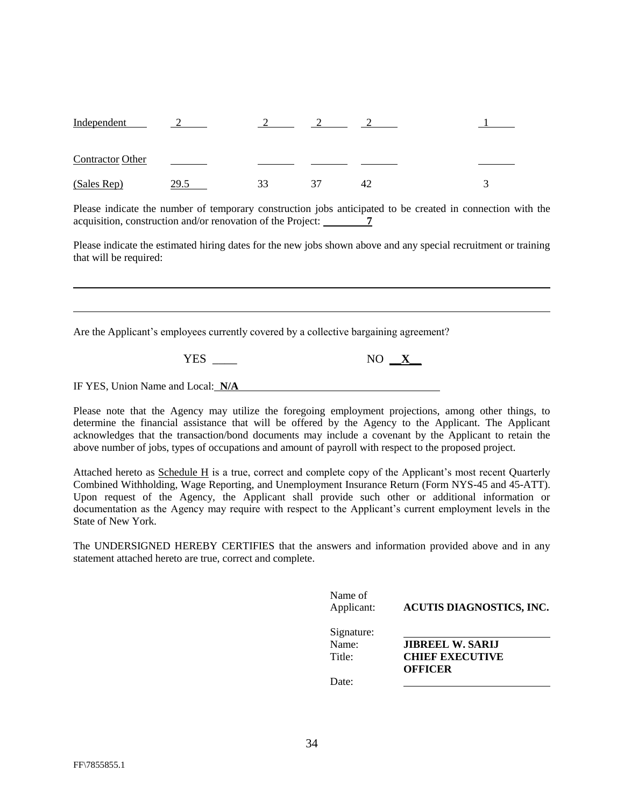| Independent             |      |    |    |  |
|-------------------------|------|----|----|--|
| <b>Contractor Other</b> |      |    |    |  |
| (Sales Rep)             | 29.5 | 33 | 37 |  |

Please indicate the number of temporary construction jobs anticipated to be created in connection with the acquisition, construction and/or renovation of the Project: **7** 

Please indicate the estimated hiring dates for the new jobs shown above and any special recruitment or training that will be required:

Are the Applicant's employees currently covered by a collective bargaining agreement?

YES NO **X** 

IF YES, Union Name and Local: **N/A**

Please note that the Agency may utilize the foregoing employment projections, among other things, to determine the financial assistance that will be offered by the Agency to the Applicant. The Applicant acknowledges that the transaction/bond documents may include a covenant by the Applicant to retain the above number of jobs, types of occupations and amount of payroll with respect to the proposed project.

Attached hereto as Schedule H is a true, correct and complete copy of the Applicant's most recent Quarterly Combined Withholding, Wage Reporting, and Unemployment Insurance Return (Form NYS-45 and 45-ATT). Upon request of the Agency, the Applicant shall provide such other or additional information or documentation as the Agency may require with respect to the Applicant's current employment levels in the State of New York.

The UNDERSIGNED HEREBY CERTIFIES that the answers and information provided above and in any statement attached hereto are true, correct and complete.

> Name of Applicant: **ACUTIS DIAGNOSTICS, INC.** Signature:

Name: **JIBREEL W. SARIJ** Title: **CHIEF EXECUTIVE OFFICER**

Date: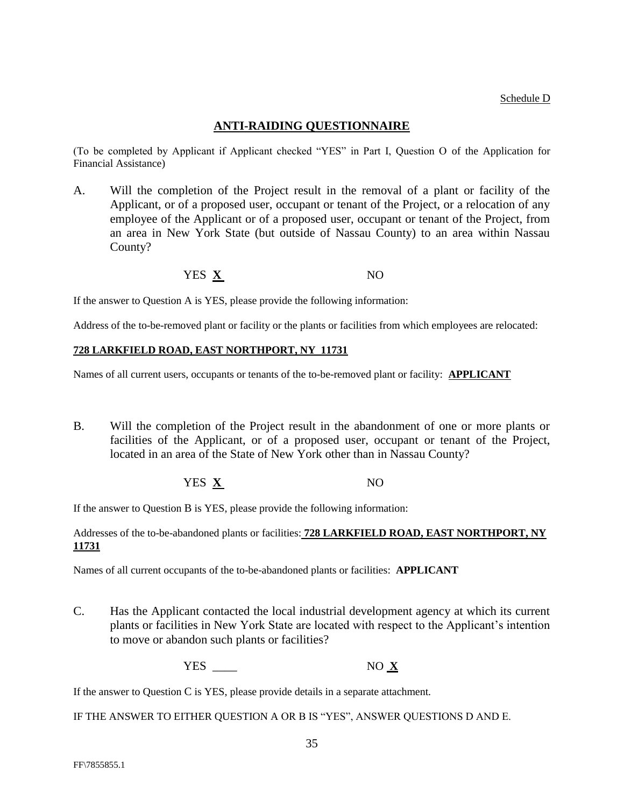#### Schedule D

## **ANTI-RAIDING QUESTIONNAIRE**

(To be completed by Applicant if Applicant checked "YES" in Part I, Question O of the Application for Financial Assistance)

A. Will the completion of the Project result in the removal of a plant or facility of the Applicant, or of a proposed user, occupant or tenant of the Project, or a relocation of any employee of the Applicant or of a proposed user, occupant or tenant of the Project, from an area in New York State (but outside of Nassau County) to an area within Nassau County?

## YES **X** NO

If the answer to Question A is YES, please provide the following information:

Address of the to-be-removed plant or facility or the plants or facilities from which employees are relocated:

## **728 LARKFIELD ROAD, EAST NORTHPORT, NY 11731**

Names of all current users, occupants or tenants of the to-be-removed plant or facility: **APPLICANT** 

B. Will the completion of the Project result in the abandonment of one or more plants or facilities of the Applicant, or of a proposed user, occupant or tenant of the Project, located in an area of the State of New York other than in Nassau County?

## YES **X** NO

If the answer to Question B is YES, please provide the following information:

Addresses of the to-be-abandoned plants or facilities: **728 LARKFIELD ROAD, EAST NORTHPORT, NY 11731**

Names of all current occupants of the to-be-abandoned plants or facilities: **APPLICANT**

C. Has the Applicant contacted the local industrial development agency at which its current plants or facilities in New York State are located with respect to the Applicant's intention to move or abandon such plants or facilities?

YES \_\_\_\_ NO **X**

If the answer to Question C is YES, please provide details in a separate attachment.

IF THE ANSWER TO EITHER QUESTION A OR B IS "YES", ANSWER QUESTIONS D AND E.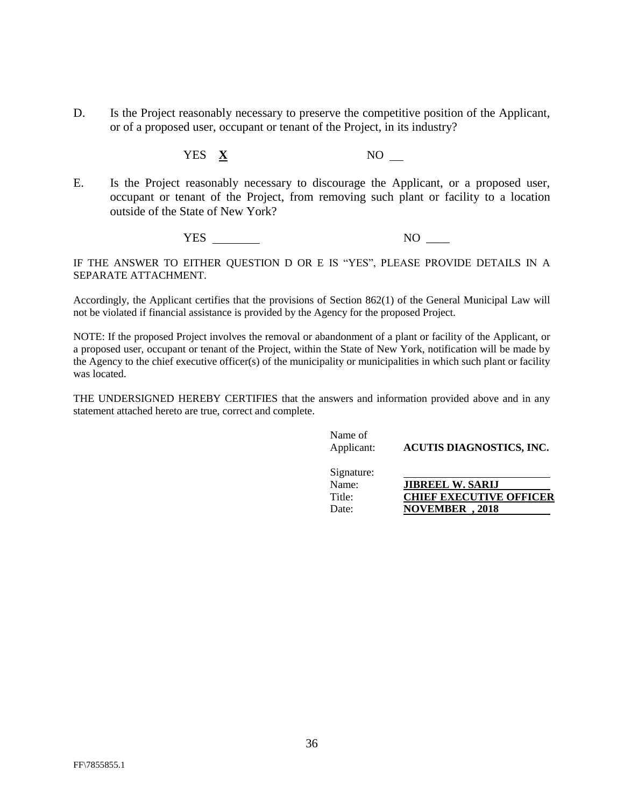D. Is the Project reasonably necessary to preserve the competitive position of the Applicant, or of a proposed user, occupant or tenant of the Project, in its industry?

YES **X** NO  $\blacksquare$ 

E. Is the Project reasonably necessary to discourage the Applicant, or a proposed user, occupant or tenant of the Project, from removing such plant or facility to a location outside of the State of New York?

YES NO NO

IF THE ANSWER TO EITHER QUESTION D OR E IS "YES", PLEASE PROVIDE DETAILS IN A SEPARATE ATTACHMENT.

Accordingly, the Applicant certifies that the provisions of Section 862(1) of the General Municipal Law will not be violated if financial assistance is provided by the Agency for the proposed Project.

NOTE: If the proposed Project involves the removal or abandonment of a plant or facility of the Applicant, or a proposed user, occupant or tenant of the Project, within the State of New York, notification will be made by the Agency to the chief executive officer(s) of the municipality or municipalities in which such plant or facility was located.

THE UNDERSIGNED HEREBY CERTIFIES that the answers and information provided above and in any statement attached hereto are true, correct and complete.

Name of

Applicant: **ACUTIS DIAGNOSTICS, INC.**

Signature:

Name: **JIBREEL W. SARIJ**<br>Title: **CHIEF EXECUTIVE CHIEF EXECUTIVE OFFICER** Date: **NOVEMBER , 2018**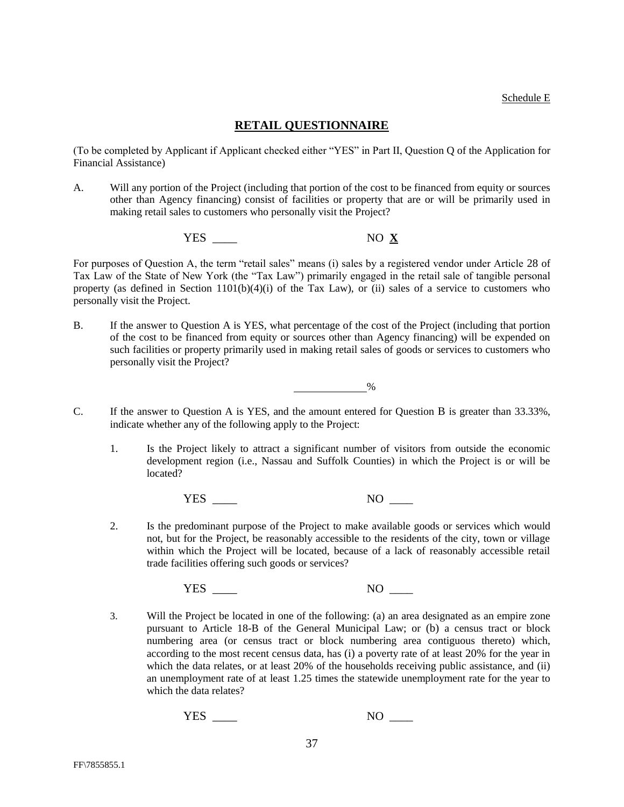## **RETAIL QUESTIONNAIRE**

(To be completed by Applicant if Applicant checked either "YES" in Part II, Question Q of the Application for Financial Assistance)

A. Will any portion of the Project (including that portion of the cost to be financed from equity or sources other than Agency financing) consist of facilities or property that are or will be primarily used in making retail sales to customers who personally visit the Project?

YES \_\_\_\_ NO **X**

For purposes of Question A, the term "retail sales" means (i) sales by a registered vendor under Article 28 of Tax Law of the State of New York (the "Tax Law") primarily engaged in the retail sale of tangible personal property (as defined in Section  $1101(b)(4)(i)$  of the Tax Law), or (ii) sales of a service to customers who personally visit the Project.

- B. If the answer to Question A is YES, what percentage of the cost of the Project (including that portion of the cost to be financed from equity or sources other than Agency financing) will be expended on such facilities or property primarily used in making retail sales of goods or services to customers who personally visit the Project?
	- %
- C. If the answer to Question A is YES, and the amount entered for Question B is greater than 33.33%, indicate whether any of the following apply to the Project:
	- 1. Is the Project likely to attract a significant number of visitors from outside the economic development region (i.e., Nassau and Suffolk Counties) in which the Project is or will be located?

YES NO

2. Is the predominant purpose of the Project to make available goods or services which would not, but for the Project, be reasonably accessible to the residents of the city, town or village within which the Project will be located, because of a lack of reasonably accessible retail trade facilities offering such goods or services?

YES NO

3. Will the Project be located in one of the following: (a) an area designated as an empire zone pursuant to Article 18-B of the General Municipal Law; or (b) a census tract or block numbering area (or census tract or block numbering area contiguous thereto) which, according to the most recent census data, has (i) a poverty rate of at least 20% for the year in which the data relates, or at least 20% of the households receiving public assistance, and (ii) an unemployment rate of at least 1.25 times the statewide unemployment rate for the year to which the data relates?

YES \_\_\_\_ NO \_\_\_\_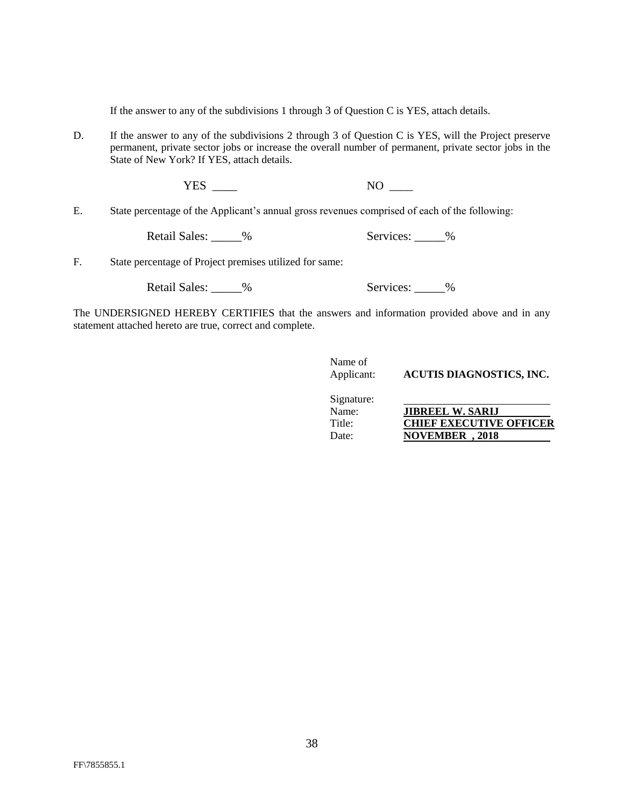If the answer to any of the subdivisions 1 through 3 of Question C is YES, attach details.

D. If the answer to any of the subdivisions 2 through 3 of Question C is YES, will the Project preserve permanent, private sector jobs or increase the overall number of permanent, private sector jobs in the State of New York? If YES, attach details.

YES NO

E. State percentage of the Applicant's annual gross revenues comprised of each of the following:

Retail Sales:  $\frac{\ }{}$  % Services:  $\frac{\ }{}$  %

F. State percentage of Project premises utilized for same:

Retail Sales:  $\frac{9}{6}$  Services:  $\frac{9}{6}$ 

The UNDERSIGNED HEREBY CERTIFIES that the answers and information provided above and in any statement attached hereto are true, correct and complete.

Name of

Applicant: **ACUTIS DIAGNOSTICS, INC.**

Signature:

Name: **JIBREEL W. SARIJ** Title: **CHIEF EXECUTIVE OFFICER** Date: **NOVEMBER** , 2018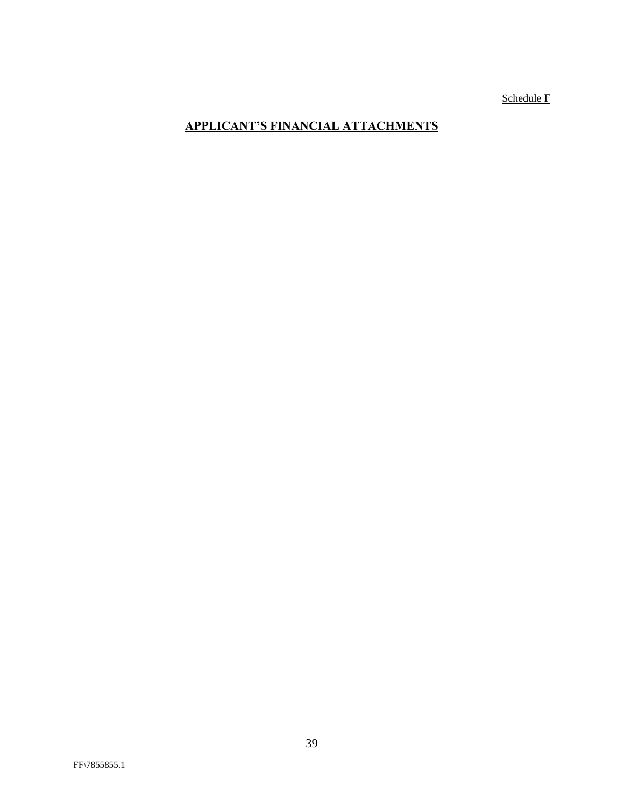Schedule F

# **APPLICANT'S FINANCIAL ATTACHMENTS**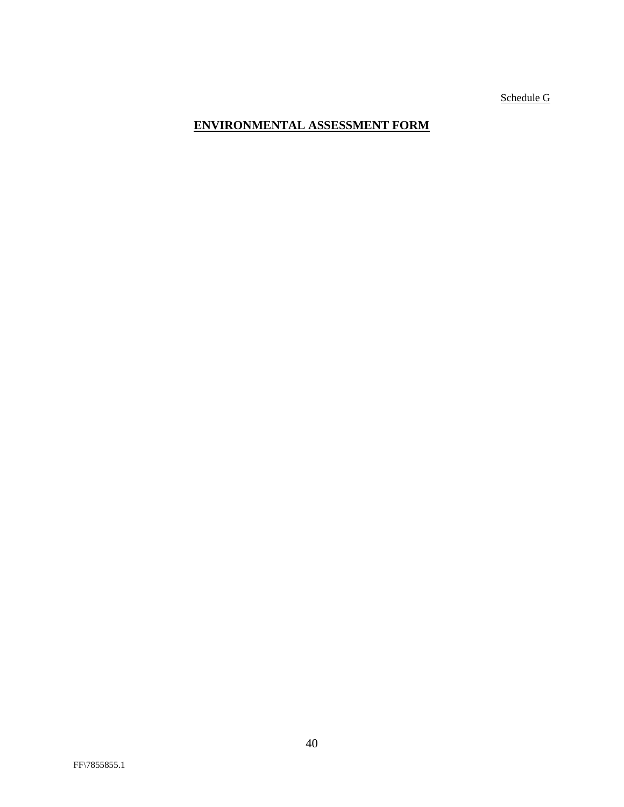Schedule G

# **ENVIRONMENTAL ASSESSMENT FORM**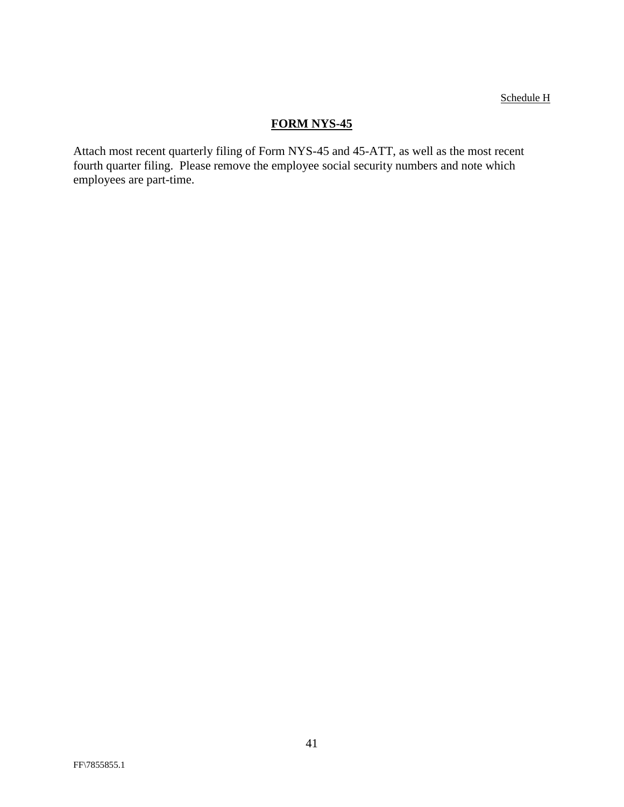## **FORM NYS-45**

Attach most recent quarterly filing of Form NYS-45 and 45-ATT, as well as the most recent fourth quarter filing. Please remove the employee social security numbers and note which employees are part-time.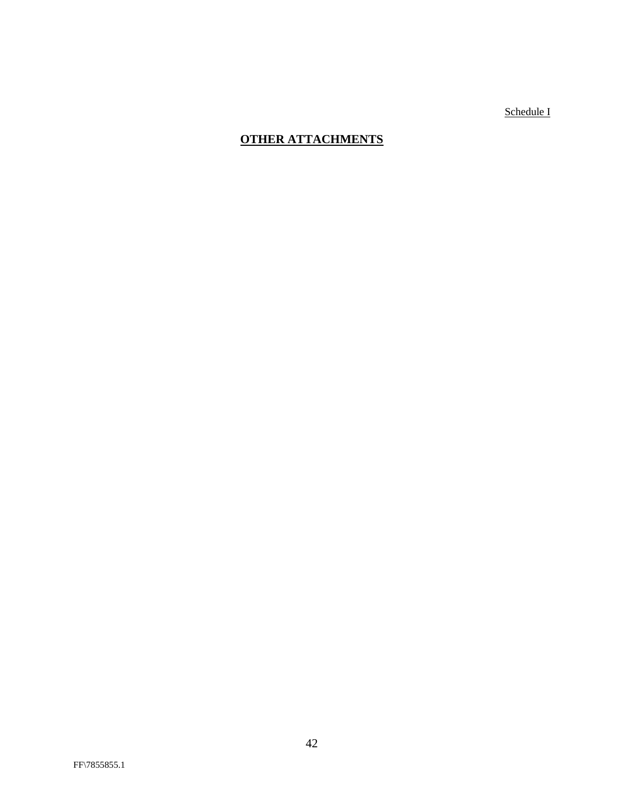Schedule I

## **OTHER ATTACHMENTS**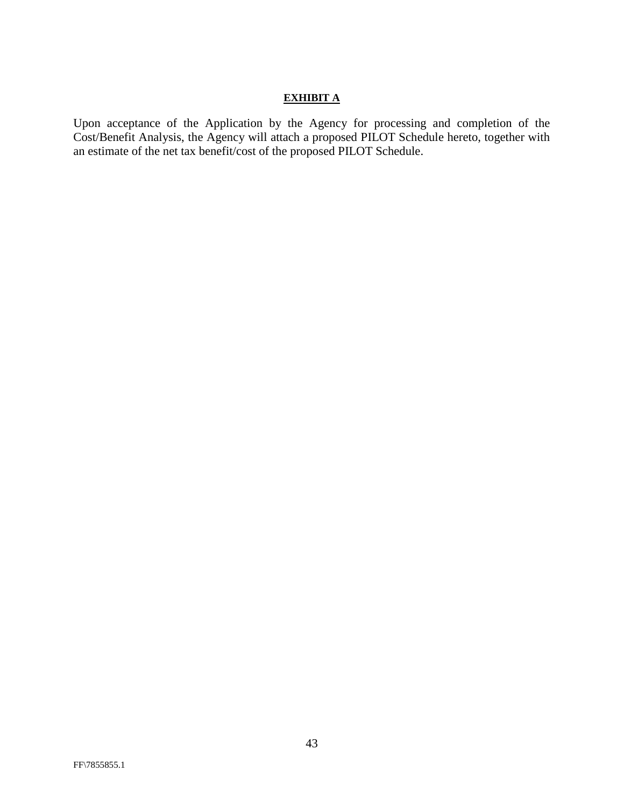## **EXHIBIT A**

Upon acceptance of the Application by the Agency for processing and completion of the Cost/Benefit Analysis, the Agency will attach a proposed PILOT Schedule hereto, together with an estimate of the net tax benefit/cost of the proposed PILOT Schedule.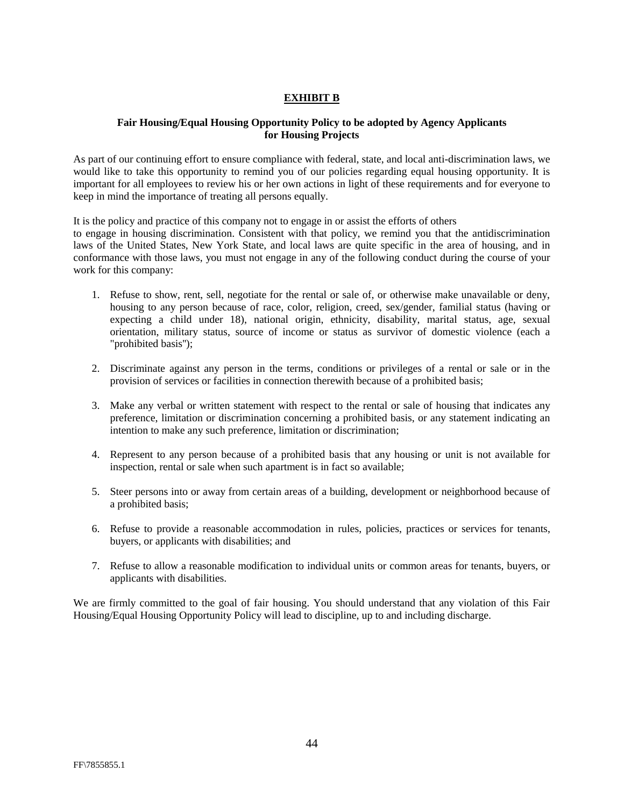## **EXHIBIT B**

#### **Fair Housing/Equal Housing Opportunity Policy to be adopted by Agency Applicants for Housing Projects**

As part of our continuing effort to ensure compliance with federal, state, and local anti-discrimination laws, we would like to take this opportunity to remind you of our policies regarding equal housing opportunity. It is important for all employees to review his or her own actions in light of these requirements and for everyone to keep in mind the importance of treating all persons equally.

It is the policy and practice of this company not to engage in or assist the efforts of others

to engage in housing discrimination. Consistent with that policy, we remind you that the antidiscrimination laws of the United States, New York State, and local laws are quite specific in the area of housing, and in conformance with those laws, you must not engage in any of the following conduct during the course of your work for this company:

- 1. Refuse to show, rent, sell, negotiate for the rental or sale of, or otherwise make unavailable or deny, housing to any person because of race, color, religion, creed, sex/gender, familial status (having or expecting a child under 18), national origin, ethnicity, disability, marital status, age, sexual orientation, military status, source of income or status as survivor of domestic violence (each a "prohibited basis'');
- 2. Discriminate against any person in the terms, conditions or privileges of a rental or sale or in the provision of services or facilities in connection therewith because of a prohibited basis;
- 3. Make any verbal or written statement with respect to the rental or sale of housing that indicates any preference, limitation or discrimination concerning a prohibited basis, or any statement indicating an intention to make any such preference, limitation or discrimination;
- 4. Represent to any person because of a prohibited basis that any housing or unit is not available for inspection, rental or sale when such apartment is in fact so available;
- 5. Steer persons into or away from certain areas of a building, development or neighborhood because of a prohibited basis;
- 6. Refuse to provide a reasonable accommodation in rules, policies, practices or services for tenants, buyers, or applicants with disabilities; and
- 7. Refuse to allow a reasonable modification to individual units or common areas for tenants, buyers, or applicants with disabilities.

We are firmly committed to the goal of fair housing. You should understand that any violation of this Fair Housing/Equal Housing Opportunity Policy will lead to discipline, up to and including discharge.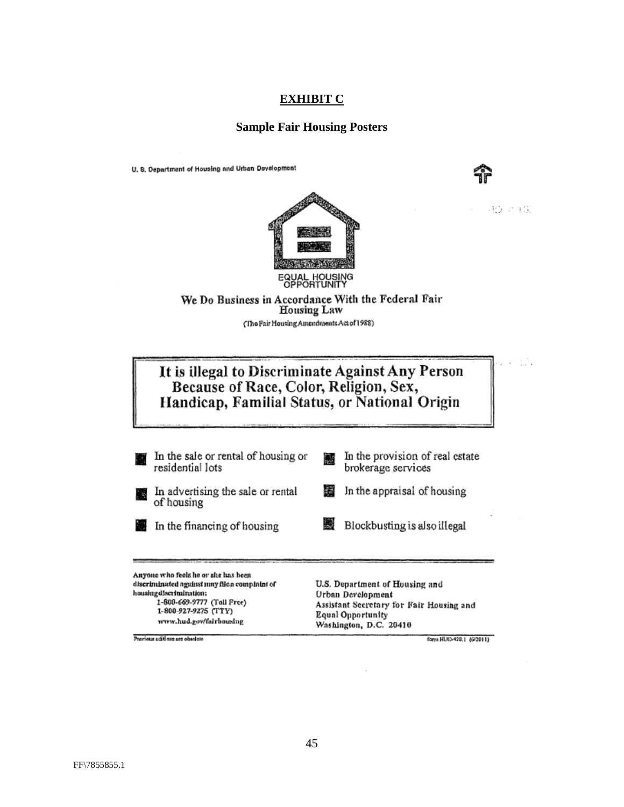## **EXHIBIT C**

#### **Sample Fair Housing Posters**

U. S. Department of Housing and Urban Development



 $-10 - 7.13$ 

 $\mathcal{L}$  $\mathcal{L}^{\infty}_{\infty}$ 



We Do Business in Accordance With the Federal Fair **Housing Law** (The Fair Housing Amendments Act of 1988)

# It is illegal to Discriminate Against Any Person Because of Race, Color, Religion, Sex, Handicap, Familial Status, or National Origin

| In the sale or rental of housing or<br>residential lots |   | In the provision of real estate<br>brokerage services |  |
|---------------------------------------------------------|---|-------------------------------------------------------|--|
| In advertising the sale or rental<br>of housing         | 磦 | In the appraisal of housing                           |  |
| In the financing of housing                             | 腳 | Blockbusting is also illegal                          |  |

Anyone who feels he or she has been discriminated against may file a complaint of U.S. Department of Housing and housing discrimination: Urban Development 1-800-669-9777 (Toll Free) Assistant Secretary for Fair Housing and 1-800-927-9275 (TTY) **Equal Opportunity** www.hud.gov/fairbousing Washington, D.C. 20410

Previous scients are obsolete

form HUD-928.1 (6/2011)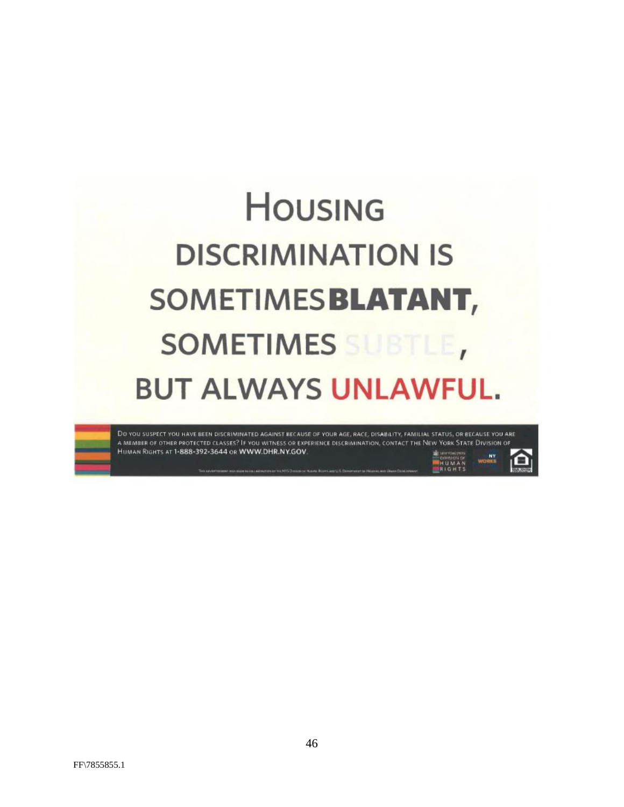# **HOUSING DISCRIMINATION IS** SOMETIMES BLATANT, **SOMETIMES SUB**  $\mathbb{F}$ **BUT ALWAYS UNLAWFUL.**

DO YOU SUSPECT YOU HAVE BEEN DISCRIMINATED AGAINST BECAUSE OF YOUR AGE, RACE, DISABILITY, FAMILIAL STATUS, OR BECAUSE YOU ARE A MEMBER OF OTHER PROTECTED CLASSES? IF YOU WITNESS OR EXPERIENCE DISCRIMINATION, CONTACT THE NEW YORK STATE DIVISION OF HUMAN RIGHTS AT 1-888-392-3644 OR WWW.DHR.NY.GOV. E<br>HUMAN<br>ERIGHTS